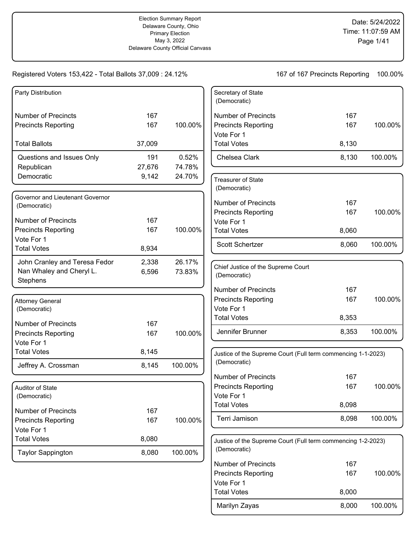| Party Distribution               |        |         | Secretary of State<br>(Democratic)                           |       |         |
|----------------------------------|--------|---------|--------------------------------------------------------------|-------|---------|
| <b>Number of Precincts</b>       | 167    |         | <b>Number of Precincts</b>                                   | 167   |         |
| <b>Precincts Reporting</b>       | 167    | 100.00% | <b>Precincts Reporting</b>                                   | 167   | 100.00% |
|                                  |        |         | Vote For 1                                                   |       |         |
| <b>Total Ballots</b>             | 37,009 |         | <b>Total Votes</b>                                           | 8,130 |         |
| Questions and Issues Only        | 191    | 0.52%   | Chelsea Clark                                                | 8,130 | 100.00% |
| Republican                       | 27,676 | 74.78%  |                                                              |       |         |
| Democratic                       | 9,142  | 24.70%  | <b>Treasurer of State</b><br>(Democratic)                    |       |         |
| Governor and Lieutenant Governor |        |         |                                                              |       |         |
| (Democratic)                     |        |         | <b>Number of Precincts</b>                                   | 167   |         |
| <b>Number of Precincts</b>       | 167    |         | <b>Precincts Reporting</b><br>Vote For 1                     | 167   | 100.00% |
| <b>Precincts Reporting</b>       | 167    | 100.00% | <b>Total Votes</b>                                           | 8,060 |         |
| Vote For 1                       |        |         |                                                              |       |         |
| <b>Total Votes</b>               | 8,934  |         | Scott Schertzer                                              | 8,060 | 100.00% |
| John Cranley and Teresa Fedor    | 2,338  | 26.17%  |                                                              |       |         |
| Nan Whaley and Cheryl L.         | 6,596  | 73.83%  | Chief Justice of the Supreme Court<br>(Democratic)           |       |         |
| Stephens                         |        |         |                                                              |       |         |
|                                  |        |         | <b>Number of Precincts</b>                                   | 167   |         |
| <b>Attorney General</b>          |        |         | <b>Precincts Reporting</b>                                   | 167   | 100.00% |
| (Democratic)                     |        |         | Vote For 1<br><b>Total Votes</b>                             | 8,353 |         |
| <b>Number of Precincts</b>       | 167    |         |                                                              |       |         |
| <b>Precincts Reporting</b>       | 167    | 100.00% | Jennifer Brunner                                             | 8,353 | 100.00% |
| Vote For 1                       |        |         |                                                              |       |         |
| <b>Total Votes</b>               | 8,145  |         | Justice of the Supreme Court (Full term commencing 1-1-2023) |       |         |
| Jeffrey A. Crossman              | 8,145  | 100.00% | (Democratic)                                                 |       |         |
|                                  |        |         | <b>Number of Precincts</b>                                   | 167   |         |
| Auditor of State                 |        |         | <b>Precincts Reporting</b>                                   | 167   | 100.00% |
| (Democratic)                     |        |         | Vote For 1                                                   |       |         |
| <b>Number of Precincts</b>       | 167    |         | <b>Total Votes</b>                                           | 8,098 |         |
| <b>Precincts Reporting</b>       | 167    | 100.00% | Terri Jamison                                                | 8,098 | 100.00% |
| Vote For 1                       |        |         |                                                              |       |         |
| <b>Total Votes</b>               | 8,080  |         | Justice of the Supreme Court (Full term commencing 1-2-2023) |       |         |
| <b>Taylor Sappington</b>         | 8,080  | 100.00% | (Democratic)                                                 |       |         |
|                                  |        |         | <b>Number of Precincts</b>                                   | 167   |         |
|                                  |        |         | <b>Precincts Reporting</b>                                   | 167   | 100.00% |
|                                  |        |         | Vote For 1                                                   |       |         |
|                                  |        |         | <b>Total Votes</b>                                           | 8,000 |         |
|                                  |        |         | Marilyn Zayas                                                | 8,000 | 100.00% |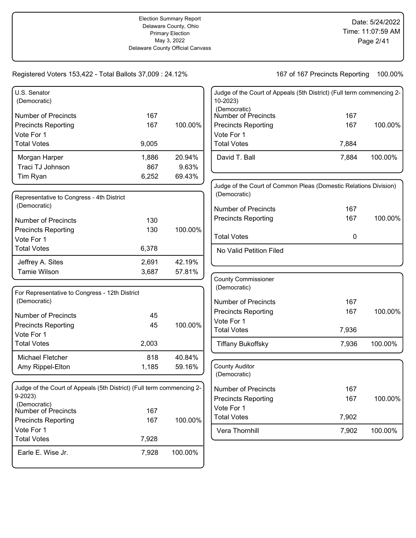| U.S. Senator<br>(Democratic)                                          |       |         | Judge of the Court of Appeals (5th District) (Full term commencing 2-<br>10-2023) |       |         |
|-----------------------------------------------------------------------|-------|---------|-----------------------------------------------------------------------------------|-------|---------|
| <b>Number of Precincts</b>                                            | 167   |         | (Democratic)<br>Number of Precincts                                               | 167   |         |
| <b>Precincts Reporting</b>                                            | 167   | 100.00% | <b>Precincts Reporting</b>                                                        | 167   | 100.00% |
| Vote For 1                                                            |       |         | Vote For 1                                                                        |       |         |
| <b>Total Votes</b>                                                    | 9,005 |         | <b>Total Votes</b>                                                                | 7,884 |         |
| Morgan Harper                                                         | 1,886 | 20.94%  | David T. Ball                                                                     | 7,884 | 100.00% |
| Traci TJ Johnson                                                      | 867   | 9.63%   |                                                                                   |       |         |
| Tim Ryan                                                              | 6,252 | 69.43%  |                                                                                   |       |         |
|                                                                       |       |         | Judge of the Court of Common Pleas (Domestic Relations Division)                  |       |         |
| Representative to Congress - 4th District                             |       |         | (Democratic)                                                                      |       |         |
| (Democratic)                                                          |       |         | <b>Number of Precincts</b>                                                        | 167   |         |
| <b>Number of Precincts</b>                                            | 130   |         | <b>Precincts Reporting</b>                                                        | 167   | 100.00% |
| <b>Precincts Reporting</b>                                            | 130   | 100.00% |                                                                                   |       |         |
| Vote For 1                                                            |       |         | <b>Total Votes</b>                                                                | 0     |         |
| <b>Total Votes</b>                                                    | 6,378 |         | No Valid Petition Filed                                                           |       |         |
| Jeffrey A. Sites                                                      | 2,691 | 42.19%  |                                                                                   |       |         |
| <b>Tamie Wilson</b>                                                   | 3,687 | 57.81%  |                                                                                   |       |         |
|                                                                       |       |         | <b>County Commissioner</b>                                                        |       |         |
| For Representative to Congress - 12th District                        |       |         | (Democratic)                                                                      |       |         |
| (Democratic)                                                          |       |         | <b>Number of Precincts</b>                                                        | 167   |         |
| <b>Number of Precincts</b>                                            | 45    |         | <b>Precincts Reporting</b>                                                        | 167   | 100.00% |
| <b>Precincts Reporting</b>                                            | 45    | 100.00% | Vote For 1                                                                        |       |         |
| Vote For 1                                                            |       |         | <b>Total Votes</b>                                                                | 7,936 |         |
| <b>Total Votes</b>                                                    | 2,003 |         | <b>Tiffany Bukoffsky</b>                                                          | 7,936 | 100.00% |
| Michael Fletcher                                                      | 818   | 40.84%  |                                                                                   |       |         |
| Amy Rippel-Elton                                                      | 1,185 | 59.16%  | <b>County Auditor</b>                                                             |       |         |
|                                                                       |       |         | (Democratic)                                                                      |       |         |
| Judge of the Court of Appeals (5th District) (Full term commencing 2- |       |         | Number of Precincts                                                               | 167   |         |
| $9 - 2023$                                                            |       |         | <b>Precincts Reporting</b>                                                        | 167   | 100.00% |
| (Democratic)<br>Number of Precincts                                   | 167   |         | Vote For 1                                                                        |       |         |
| <b>Precincts Reporting</b>                                            | 167   | 100.00% | <b>Total Votes</b>                                                                | 7,902 |         |
| Vote For 1                                                            |       |         | Vera Thornhill                                                                    | 7,902 | 100.00% |
| <b>Total Votes</b>                                                    | 7,928 |         |                                                                                   |       |         |
| Earle E. Wise Jr.                                                     | 7,928 | 100.00% |                                                                                   |       |         |
|                                                                       |       |         |                                                                                   |       |         |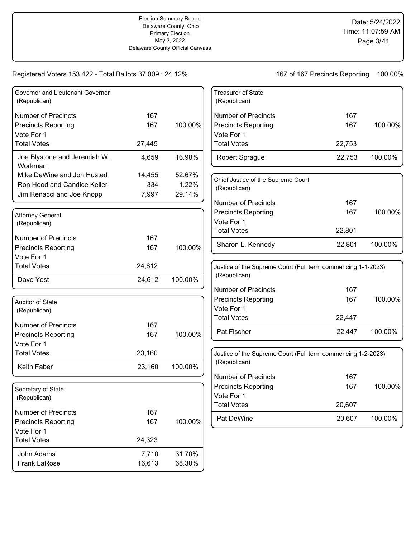### Registered Voters 153,422 - Total Ballots 37,009 : 24.12%

| Governor and Lieutenant Governor<br>(Republican) |        |         | <b>Treasurer of State</b><br>(Republican)                    |        |         |
|--------------------------------------------------|--------|---------|--------------------------------------------------------------|--------|---------|
| <b>Number of Precincts</b>                       | 167    |         | <b>Number of Precincts</b>                                   | 167    |         |
| <b>Precincts Reporting</b>                       | 167    | 100.00% | <b>Precincts Reporting</b>                                   | 167    | 100.00% |
| Vote For 1                                       |        |         | Vote For 1                                                   |        |         |
| <b>Total Votes</b>                               | 27,445 |         | <b>Total Votes</b>                                           | 22,753 |         |
| Joe Blystone and Jeremiah W.<br>Workman          | 4,659  | 16.98%  | Robert Sprague                                               | 22,753 | 100.00% |
| Mike DeWine and Jon Husted                       | 14,455 | 52.67%  | Chief Justice of the Supreme Court                           |        |         |
| Ron Hood and Candice Keller                      | 334    | 1.22%   | (Republican)                                                 |        |         |
| Jim Renacci and Joe Knopp                        | 7,997  | 29.14%  |                                                              |        |         |
|                                                  |        |         | <b>Number of Precincts</b>                                   | 167    |         |
| <b>Attorney General</b>                          |        |         | <b>Precincts Reporting</b>                                   | 167    | 100.00% |
| (Republican)                                     |        |         | Vote For 1                                                   |        |         |
| <b>Number of Precincts</b>                       | 167    |         | <b>Total Votes</b>                                           | 22,801 |         |
|                                                  | 167    | 100.00% | Sharon L. Kennedy                                            | 22,801 | 100.00% |
| <b>Precincts Reporting</b><br>Vote For 1         |        |         |                                                              |        |         |
| <b>Total Votes</b>                               | 24,612 |         | Justice of the Supreme Court (Full term commencing 1-1-2023) |        |         |
|                                                  |        |         | (Republican)                                                 |        |         |
| Dave Yost                                        | 24,612 | 100.00% |                                                              |        |         |
|                                                  |        |         | <b>Number of Precincts</b>                                   | 167    |         |
| Auditor of State                                 |        |         | <b>Precincts Reporting</b>                                   | 167    | 100.00% |
| (Republican)                                     |        |         | Vote For 1                                                   |        |         |
| <b>Number of Precincts</b>                       | 167    |         | <b>Total Votes</b>                                           | 22,447 |         |
| <b>Precincts Reporting</b>                       | 167    | 100.00% | Pat Fischer                                                  | 22,447 | 100.00% |
| Vote For 1                                       |        |         |                                                              |        |         |
| <b>Total Votes</b>                               | 23,160 |         | Justice of the Supreme Court (Full term commencing 1-2-2023) |        |         |
|                                                  |        |         | (Republican)                                                 |        |         |
| Keith Faber                                      | 23,160 | 100.00% |                                                              |        |         |
|                                                  |        |         | <b>Number of Precincts</b>                                   | 167    |         |
| Secretary of State                               |        |         | <b>Precincts Reporting</b><br>Vote For 1                     | 167    | 100.00% |
| (Republican)                                     |        |         | <b>Total Votes</b>                                           | 20,607 |         |
| Number of Precincts                              | 167    |         |                                                              |        |         |
| <b>Precincts Reporting</b>                       | 167    | 100.00% | Pat DeWine                                                   | 20,607 | 100.00% |
| Vote For 1                                       |        |         |                                                              |        |         |
| <b>Total Votes</b>                               | 24,323 |         |                                                              |        |         |
| John Adams                                       | 7,710  | 31.70%  |                                                              |        |         |
| Frank LaRose                                     | 16,613 | 68.30%  |                                                              |        |         |
|                                                  |        |         |                                                              |        |         |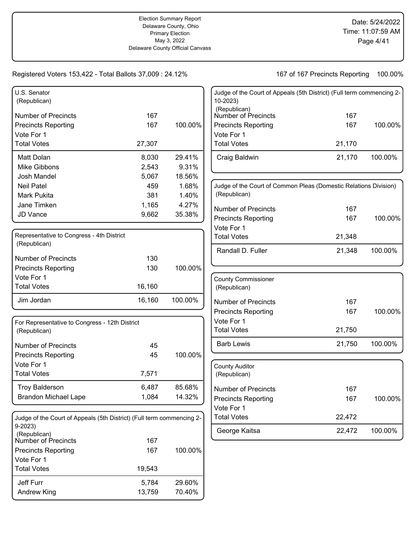| U.S. Senator<br>(Republican)                                          |        |         | Judge of the Court of Appeals (5th District) (Full term commencing 2-<br>10-2023) |        |         |
|-----------------------------------------------------------------------|--------|---------|-----------------------------------------------------------------------------------|--------|---------|
|                                                                       |        |         | (Republican)<br>Number of Precincts                                               |        |         |
| <b>Number of Precincts</b>                                            | 167    |         |                                                                                   | 167    |         |
| <b>Precincts Reporting</b>                                            | 167    | 100.00% | <b>Precincts Reporting</b>                                                        | 167    | 100.00% |
| Vote For 1                                                            |        |         | Vote For 1                                                                        |        |         |
| <b>Total Votes</b>                                                    | 27,307 |         | <b>Total Votes</b>                                                                | 21,170 |         |
| Matt Dolan                                                            | 8,030  | 29.41%  | Craig Baldwin                                                                     | 21,170 | 100.00% |
| Mike Gibbons                                                          | 2,543  | 9.31%   |                                                                                   |        |         |
| Josh Mandel                                                           | 5,067  | 18.56%  |                                                                                   |        |         |
| <b>Neil Patel</b>                                                     | 459    | 1.68%   | Judge of the Court of Common Pleas (Domestic Relations Division)                  |        |         |
| Mark Pukita                                                           | 381    | 1.40%   | (Republican)                                                                      |        |         |
| Jane Timken                                                           | 1,165  | 4.27%   | <b>Number of Precincts</b>                                                        | 167    |         |
| JD Vance                                                              | 9,662  | 35.38%  | <b>Precincts Reporting</b>                                                        | 167    | 100.00% |
|                                                                       |        |         | Vote For 1                                                                        |        |         |
| Representative to Congress - 4th District                             |        |         | <b>Total Votes</b>                                                                | 21,348 |         |
| (Republican)                                                          |        |         |                                                                                   |        |         |
| <b>Number of Precincts</b>                                            | 130    |         | Randall D. Fuller                                                                 | 21,348 | 100.00% |
| <b>Precincts Reporting</b>                                            | 130    | 100.00% |                                                                                   |        |         |
| Vote For 1                                                            |        |         |                                                                                   |        |         |
| <b>Total Votes</b>                                                    | 16,160 |         | <b>County Commissioner</b>                                                        |        |         |
|                                                                       |        |         | (Republican)                                                                      |        |         |
| Jim Jordan                                                            | 16,160 | 100.00% | <b>Number of Precincts</b>                                                        | 167    |         |
|                                                                       |        |         | <b>Precincts Reporting</b>                                                        | 167    | 100.00% |
| For Representative to Congress - 12th District                        |        |         | Vote For 1                                                                        |        |         |
| (Republican)                                                          |        |         | <b>Total Votes</b>                                                                | 21,750 |         |
| <b>Number of Precincts</b>                                            | 45     |         | <b>Barb Lewis</b>                                                                 | 21,750 | 100.00% |
| <b>Precincts Reporting</b>                                            | 45     | 100.00% |                                                                                   |        |         |
| Vote For 1                                                            |        |         |                                                                                   |        |         |
| <b>Total Votes</b>                                                    | 7,571  |         | <b>County Auditor</b><br>(Republican)                                             |        |         |
|                                                                       |        |         |                                                                                   |        |         |
| <b>Troy Balderson</b>                                                 | 6,487  | 85.68%  | <b>Number of Precincts</b>                                                        | 167    |         |
| <b>Brandon Michael Lape</b>                                           | 1,084  | 14.32%  | <b>Precincts Reporting</b>                                                        | 167    | 100.00% |
|                                                                       |        |         | Vote For 1                                                                        |        |         |
| Judge of the Court of Appeals (5th District) (Full term commencing 2- |        |         | <b>Total Votes</b>                                                                | 22,472 |         |
| $9-2023$                                                              |        |         | George Kaitsa                                                                     | 22,472 | 100.00% |
| (Republican)<br>Number of Precincts                                   | 167    |         |                                                                                   |        |         |
| <b>Precincts Reporting</b>                                            | 167    | 100.00% |                                                                                   |        |         |
| Vote For 1                                                            |        |         |                                                                                   |        |         |
| <b>Total Votes</b>                                                    | 19,543 |         |                                                                                   |        |         |
| Jeff Furr                                                             | 5,784  | 29.60%  |                                                                                   |        |         |
| Andrew King                                                           | 13,759 | 70.40%  |                                                                                   |        |         |
|                                                                       |        |         |                                                                                   |        |         |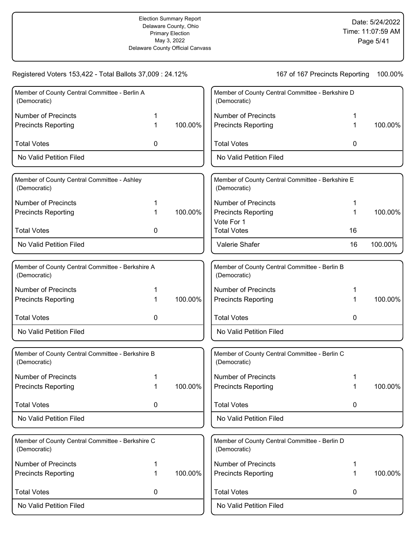| Registered Voters 153,422 - Total Ballots 37,009 : 24.12%        |   |         | 167 of 167 Precincts Reporting<br>100.00%                        |    |         |  |
|------------------------------------------------------------------|---|---------|------------------------------------------------------------------|----|---------|--|
| Member of County Central Committee - Berlin A<br>(Democratic)    |   |         | Member of County Central Committee - Berkshire D<br>(Democratic) |    |         |  |
| <b>Number of Precincts</b>                                       |   |         | <b>Number of Precincts</b>                                       | 1  |         |  |
| <b>Precincts Reporting</b>                                       | 1 | 100.00% | <b>Precincts Reporting</b>                                       | 1  | 100.00% |  |
| <b>Total Votes</b>                                               | 0 |         | <b>Total Votes</b>                                               | 0  |         |  |
| No Valid Petition Filed                                          |   |         | No Valid Petition Filed                                          |    |         |  |
| Member of County Central Committee - Ashley<br>(Democratic)      |   |         | Member of County Central Committee - Berkshire E<br>(Democratic) |    |         |  |
| <b>Number of Precincts</b>                                       |   |         | <b>Number of Precincts</b>                                       | 1  |         |  |
| <b>Precincts Reporting</b>                                       | 1 | 100.00% | <b>Precincts Reporting</b>                                       | 1  | 100.00% |  |
|                                                                  |   |         | Vote For 1                                                       |    |         |  |
| <b>Total Votes</b>                                               | 0 |         | <b>Total Votes</b>                                               | 16 |         |  |
| No Valid Petition Filed                                          |   |         | Valerie Shafer                                                   | 16 | 100.00% |  |
| Member of County Central Committee - Berkshire A<br>(Democratic) |   |         | Member of County Central Committee - Berlin B<br>(Democratic)    |    |         |  |
| <b>Number of Precincts</b>                                       |   |         | <b>Number of Precincts</b>                                       | 1  |         |  |
| <b>Precincts Reporting</b>                                       | 1 | 100.00% | <b>Precincts Reporting</b>                                       | 1  | 100.00% |  |
| <b>Total Votes</b>                                               | 0 |         | <b>Total Votes</b>                                               | 0  |         |  |
| No Valid Petition Filed                                          |   |         | No Valid Petition Filed                                          |    |         |  |
| Member of County Central Committee - Berkshire B<br>(Democratic) |   |         | Member of County Central Committee - Berlin C<br>(Democratic)    |    |         |  |
| <b>Number of Precincts</b>                                       |   |         | <b>Number of Precincts</b>                                       | 1  |         |  |
| <b>Precincts Reporting</b>                                       |   | 100.00% | <b>Precincts Reporting</b>                                       |    | 100.00% |  |
| <b>Total Votes</b>                                               | 0 |         | <b>Total Votes</b>                                               | 0  |         |  |
| No Valid Petition Filed                                          |   |         | No Valid Petition Filed                                          |    |         |  |
| Member of County Central Committee - Berkshire C<br>(Democratic) |   |         | Member of County Central Committee - Berlin D<br>(Democratic)    |    |         |  |
| <b>Number of Precincts</b>                                       |   |         | <b>Number of Precincts</b>                                       | 1  |         |  |
| <b>Precincts Reporting</b>                                       |   | 100.00% | <b>Precincts Reporting</b>                                       | 1  | 100.00% |  |
| <b>Total Votes</b>                                               | 0 |         | <b>Total Votes</b>                                               | 0  |         |  |
| No Valid Petition Filed                                          |   |         | No Valid Petition Filed                                          |    |         |  |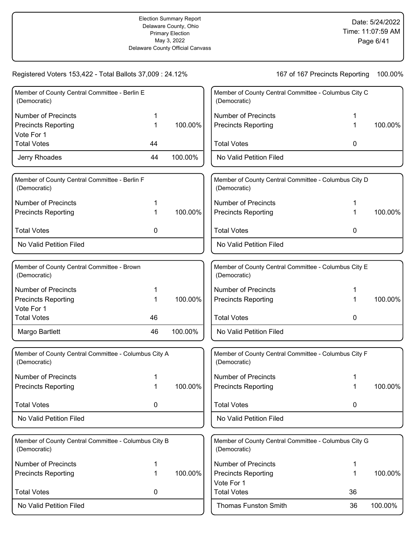| Member of County Central Committee - Berlin E<br>(Democratic)        |    |         | Member of County Central Committee - Columbus City C<br>(Democratic) |    |         |
|----------------------------------------------------------------------|----|---------|----------------------------------------------------------------------|----|---------|
| <b>Number of Precincts</b>                                           |    |         | <b>Number of Precincts</b>                                           |    |         |
| <b>Precincts Reporting</b>                                           | 1  | 100.00% | <b>Precincts Reporting</b>                                           |    | 100.00% |
| Vote For 1                                                           |    |         |                                                                      |    |         |
| <b>Total Votes</b>                                                   | 44 |         | <b>Total Votes</b>                                                   | 0  |         |
| Jerry Rhoades                                                        | 44 | 100.00% | No Valid Petition Filed                                              |    |         |
| Member of County Central Committee - Berlin F<br>(Democratic)        |    |         | Member of County Central Committee - Columbus City D<br>(Democratic) |    |         |
| <b>Number of Precincts</b>                                           |    |         | <b>Number of Precincts</b>                                           |    |         |
| <b>Precincts Reporting</b>                                           | 1  | 100.00% | <b>Precincts Reporting</b>                                           |    | 100.00% |
| <b>Total Votes</b>                                                   | 0  |         | <b>Total Votes</b>                                                   | 0  |         |
| No Valid Petition Filed                                              |    |         | No Valid Petition Filed                                              |    |         |
|                                                                      |    |         |                                                                      |    |         |
| Member of County Central Committee - Brown<br>(Democratic)           |    |         | Member of County Central Committee - Columbus City E<br>(Democratic) |    |         |
| <b>Number of Precincts</b>                                           | 1  |         | <b>Number of Precincts</b>                                           |    |         |
| <b>Precincts Reporting</b>                                           | 1  | 100.00% | <b>Precincts Reporting</b>                                           |    | 100.00% |
| Vote For 1                                                           |    |         |                                                                      |    |         |
| <b>Total Votes</b>                                                   | 46 |         | <b>Total Votes</b>                                                   | 0  |         |
| Margo Bartlett                                                       | 46 | 100.00% | No Valid Petition Filed                                              |    |         |
| Member of County Central Committee - Columbus City A<br>(Democratic) |    |         | Member of County Central Committee - Columbus City F<br>(Democratic) |    |         |
| <b>Number of Precincts</b>                                           |    |         | <b>Number of Precincts</b>                                           |    |         |
| <b>Precincts Reporting</b>                                           |    | 100.00% | <b>Precincts Reporting</b>                                           |    | 100.00% |
| <b>Total Votes</b>                                                   | 0  |         | <b>Total Votes</b>                                                   | 0  |         |
| No Valid Petition Filed                                              |    |         | No Valid Petition Filed                                              |    |         |
| Member of County Central Committee - Columbus City B                 |    |         | Member of County Central Committee - Columbus City G                 |    |         |
| (Democratic)                                                         |    |         | (Democratic)                                                         |    |         |
| <b>Number of Precincts</b>                                           | 1  |         | <b>Number of Precincts</b>                                           | 1  |         |
| <b>Precincts Reporting</b>                                           | 1  | 100.00% | <b>Precincts Reporting</b>                                           | 1  | 100.00% |
|                                                                      |    |         | Vote For 1                                                           |    |         |
| <b>Total Votes</b>                                                   | 0  |         | <b>Total Votes</b>                                                   | 36 |         |
| No Valid Petition Filed                                              |    |         | <b>Thomas Funston Smith</b>                                          | 36 | 100.00% |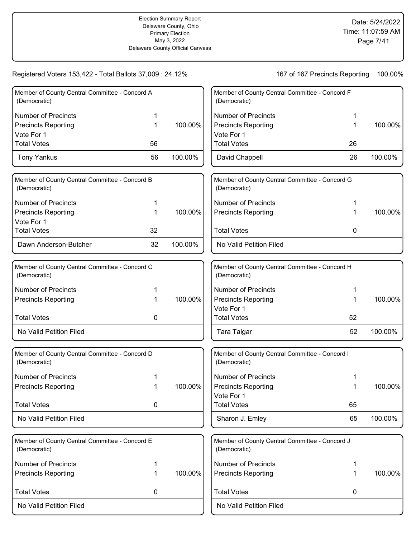| Member of County Central Committee - Concord A<br>(Democratic) |    |         | Member of County Central Committee - Concord F<br>(Democratic) |             |         |
|----------------------------------------------------------------|----|---------|----------------------------------------------------------------|-------------|---------|
| <b>Number of Precincts</b>                                     | 1  |         | <b>Number of Precincts</b>                                     | 1           |         |
| <b>Precincts Reporting</b>                                     | 1  | 100.00% | <b>Precincts Reporting</b>                                     | 1           | 100.00% |
| Vote For 1                                                     |    |         | Vote For 1                                                     |             |         |
| <b>Total Votes</b>                                             | 56 |         | <b>Total Votes</b>                                             | 26          |         |
| <b>Tony Yankus</b>                                             | 56 | 100.00% | David Chappell                                                 | 26          | 100.00% |
| Member of County Central Committee - Concord B<br>(Democratic) |    |         | Member of County Central Committee - Concord G<br>(Democratic) |             |         |
| <b>Number of Precincts</b>                                     | 1  |         | <b>Number of Precincts</b>                                     |             |         |
| <b>Precincts Reporting</b>                                     | 1  | 100.00% | <b>Precincts Reporting</b>                                     |             | 100.00% |
| Vote For 1                                                     |    |         |                                                                |             |         |
| <b>Total Votes</b>                                             | 32 |         | <b>Total Votes</b>                                             | 0           |         |
| Dawn Anderson-Butcher                                          | 32 | 100.00% | No Valid Petition Filed                                        |             |         |
| Member of County Central Committee - Concord C                 |    |         | Member of County Central Committee - Concord H                 |             |         |
| (Democratic)                                                   |    |         | (Democratic)                                                   |             |         |
| <b>Number of Precincts</b>                                     | 1  |         | <b>Number of Precincts</b>                                     | 1           |         |
| <b>Precincts Reporting</b>                                     | 1  | 100.00% | <b>Precincts Reporting</b>                                     | 1           | 100.00% |
|                                                                |    |         | Vote For 1                                                     |             |         |
| <b>Total Votes</b>                                             | 0  |         | <b>Total Votes</b>                                             | 52          |         |
| No Valid Petition Filed                                        |    |         | <b>Tara Talgar</b>                                             | 52          | 100.00% |
| Member of County Central Committee - Concord D<br>(Democratic) |    |         | Member of County Central Committee - Concord I<br>(Democratic) |             |         |
| <b>Number of Precincts</b>                                     | 1  |         | <b>Number of Precincts</b>                                     |             |         |
| <b>Precincts Reporting</b>                                     | 1  | 100.00% | <b>Precincts Reporting</b>                                     | 1           | 100.00% |
|                                                                |    |         | Vote For 1                                                     |             |         |
| <b>Total Votes</b>                                             | 0  |         | <b>Total Votes</b>                                             | 65          |         |
| No Valid Petition Filed                                        |    |         | Sharon J. Emley                                                | 65          | 100.00% |
| Member of County Central Committee - Concord E<br>(Democratic) |    |         | Member of County Central Committee - Concord J<br>(Democratic) |             |         |
| <b>Number of Precincts</b>                                     | 1  |         | <b>Number of Precincts</b>                                     | 1           |         |
| <b>Precincts Reporting</b>                                     | 1  | 100.00% | <b>Precincts Reporting</b>                                     | 1           | 100.00% |
| <b>Total Votes</b>                                             | 0  |         | <b>Total Votes</b>                                             | $\mathbf 0$ |         |
| No Valid Petition Filed                                        |    |         | No Valid Petition Filed                                        |             |         |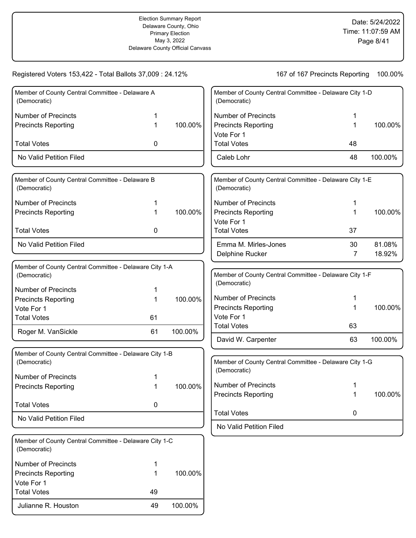Julianne R. Houston 100.00%

Total Votes 49

| Member of County Central Committee - Delaware A<br>(Democratic)        |    |         | Member of County Central Committee - Delaware City 1-D<br>(Democratic) |    |         |
|------------------------------------------------------------------------|----|---------|------------------------------------------------------------------------|----|---------|
| <b>Number of Precincts</b>                                             | 1  |         | <b>Number of Precincts</b>                                             | 1  |         |
| <b>Precincts Reporting</b>                                             | 1  | 100.00% | <b>Precincts Reporting</b>                                             | 1  | 100.00% |
|                                                                        |    |         | Vote For 1                                                             |    |         |
| <b>Total Votes</b>                                                     | 0  |         | <b>Total Votes</b>                                                     | 48 |         |
| No Valid Petition Filed                                                |    |         | Caleb Lohr                                                             | 48 | 100.00% |
| Member of County Central Committee - Delaware B<br>(Democratic)        |    |         | Member of County Central Committee - Delaware City 1-E<br>(Democratic) |    |         |
| <b>Number of Precincts</b>                                             |    |         | <b>Number of Precincts</b>                                             |    |         |
| <b>Precincts Reporting</b>                                             | 1  | 100.00% | <b>Precincts Reporting</b>                                             |    | 100.00% |
|                                                                        |    |         | Vote For 1                                                             |    |         |
| <b>Total Votes</b>                                                     | 0  |         | <b>Total Votes</b>                                                     | 37 |         |
| No Valid Petition Filed                                                |    |         | Emma M. Mirles-Jones                                                   | 30 | 81.08%  |
|                                                                        |    |         | Delphine Rucker                                                        | 7  | 18.92%  |
| Member of County Central Committee - Delaware City 1-A                 |    |         |                                                                        |    |         |
| (Democratic)                                                           |    |         | Member of County Central Committee - Delaware City 1-F                 |    |         |
| <b>Number of Precincts</b>                                             | 1  |         | (Democratic)                                                           |    |         |
| <b>Precincts Reporting</b>                                             | 1  | 100.00% | <b>Number of Precincts</b>                                             | 1  |         |
| Vote For 1                                                             |    |         | <b>Precincts Reporting</b>                                             | 1  | 100.00% |
| <b>Total Votes</b>                                                     | 61 |         | Vote For 1                                                             |    |         |
| Roger M. VanSickle                                                     | 61 | 100.00% | <b>Total Votes</b>                                                     | 63 |         |
|                                                                        |    |         | David W. Carpenter                                                     | 63 | 100.00% |
| Member of County Central Committee - Delaware City 1-B<br>(Democratic) |    |         | Member of County Central Committee - Delaware City 1-G                 |    |         |
|                                                                        |    |         | (Democratic)                                                           |    |         |
| <b>Number of Precincts</b>                                             |    | 100.00% | <b>Number of Precincts</b>                                             | 1  |         |
| <b>Precincts Reporting</b>                                             |    |         | <b>Precincts Reporting</b>                                             | 1  | 100.00% |
| <b>Total Votes</b>                                                     | 0  |         |                                                                        |    |         |
| No Valid Petition Filed                                                |    |         | <b>Total Votes</b>                                                     | 0  |         |
|                                                                        |    |         | No Valid Petition Filed                                                |    |         |
| Member of County Central Committee - Delaware City 1-C<br>(Democratic) |    |         |                                                                        |    |         |
| <b>Number of Precincts</b>                                             | 1  |         |                                                                        |    |         |
| <b>Precincts Reporting</b>                                             | 1  | 100.00% |                                                                        |    |         |
| Vote For 1                                                             |    |         |                                                                        |    |         |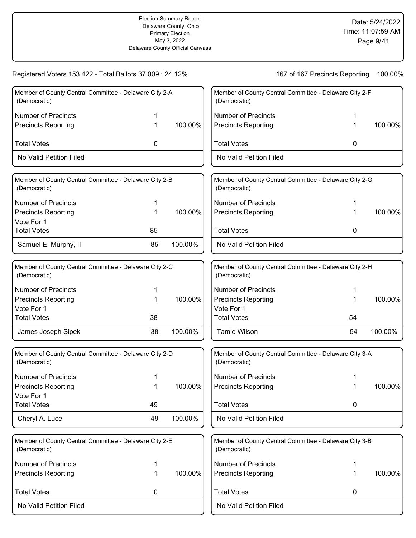| Member of County Central Committee - Delaware City 2-A<br>Member of County Central Committee - Delaware City 2-F<br>(Democratic)<br>(Democratic)<br><b>Number of Precincts</b><br><b>Number of Precincts</b><br>100.00%<br><b>Precincts Reporting</b><br><b>Precincts Reporting</b><br>1<br>1<br><b>Total Votes</b><br><b>Total Votes</b><br>0<br>0<br>No Valid Petition Filed<br>No Valid Petition Filed<br>Member of County Central Committee - Delaware City 2-B<br>Member of County Central Committee - Delaware City 2-G<br>(Democratic)<br>(Democratic)<br><b>Number of Precincts</b><br><b>Number of Precincts</b><br>1<br><b>Precincts Reporting</b><br>100.00%<br><b>Precincts Reporting</b><br>1<br>1<br>Vote For 1<br><b>Total Votes</b><br><b>Total Votes</b><br>85<br>0<br>Samuel E. Murphy, II<br>85<br>100.00%<br>No Valid Petition Filed<br>Member of County Central Committee - Delaware City 2-C<br>Member of County Central Committee - Delaware City 2-H<br>(Democratic)<br>(Democratic)<br><b>Number of Precincts</b><br><b>Number of Precincts</b><br>1<br>1<br>100.00%<br><b>Precincts Reporting</b><br><b>Precincts Reporting</b><br>1<br>1<br>Vote For 1<br>Vote For 1<br><b>Total Votes</b><br><b>Total Votes</b><br>38<br>54<br>38<br>100.00%<br><b>Tamie Wilson</b><br>54<br>100.00%<br>James Joseph Sipek<br>Member of County Central Committee - Delaware City 2-D<br>Member of County Central Committee - Delaware City 3-A<br>(Democratic)<br>(Democratic)<br><b>Number of Precincts</b><br><b>Number of Precincts</b><br>1<br>100.00%<br><b>Precincts Reporting</b><br><b>Precincts Reporting</b><br>1<br>Vote For 1<br><b>Total Votes</b><br>49<br><b>Total Votes</b><br>0<br>49<br>100.00%<br>Cheryl A. Luce<br>No Valid Petition Filed<br>Member of County Central Committee - Delaware City 2-E<br>Member of County Central Committee - Delaware City 3-B<br>(Democratic)<br>(Democratic)<br><b>Number of Precincts</b><br><b>Number of Precincts</b><br>1<br>1<br>100.00%<br><b>Precincts Reporting</b><br><b>Precincts Reporting</b><br>1<br>1<br><b>Total Votes</b><br><b>Total Votes</b><br>0<br>0<br>No Valid Petition Filed<br>No Valid Petition Filed | Registered Voters 153,422 - Total Ballots 37,009 : 24.12% |  | 167 of 167 Precincts Reporting | 100.00% |
|---------------------------------------------------------------------------------------------------------------------------------------------------------------------------------------------------------------------------------------------------------------------------------------------------------------------------------------------------------------------------------------------------------------------------------------------------------------------------------------------------------------------------------------------------------------------------------------------------------------------------------------------------------------------------------------------------------------------------------------------------------------------------------------------------------------------------------------------------------------------------------------------------------------------------------------------------------------------------------------------------------------------------------------------------------------------------------------------------------------------------------------------------------------------------------------------------------------------------------------------------------------------------------------------------------------------------------------------------------------------------------------------------------------------------------------------------------------------------------------------------------------------------------------------------------------------------------------------------------------------------------------------------------------------------------------------------------------------------------------------------------------------------------------------------------------------------------------------------------------------------------------------------------------------------------------------------------------------------------------------------------------------------------------------------------------------------------------------------------------------------------------------------------------------------------------------------|-----------------------------------------------------------|--|--------------------------------|---------|
|                                                                                                                                                                                                                                                                                                                                                                                                                                                                                                                                                                                                                                                                                                                                                                                                                                                                                                                                                                                                                                                                                                                                                                                                                                                                                                                                                                                                                                                                                                                                                                                                                                                                                                                                                                                                                                                                                                                                                                                                                                                                                                                                                                                                   |                                                           |  |                                |         |
|                                                                                                                                                                                                                                                                                                                                                                                                                                                                                                                                                                                                                                                                                                                                                                                                                                                                                                                                                                                                                                                                                                                                                                                                                                                                                                                                                                                                                                                                                                                                                                                                                                                                                                                                                                                                                                                                                                                                                                                                                                                                                                                                                                                                   |                                                           |  |                                |         |
|                                                                                                                                                                                                                                                                                                                                                                                                                                                                                                                                                                                                                                                                                                                                                                                                                                                                                                                                                                                                                                                                                                                                                                                                                                                                                                                                                                                                                                                                                                                                                                                                                                                                                                                                                                                                                                                                                                                                                                                                                                                                                                                                                                                                   |                                                           |  |                                | 100.00% |
|                                                                                                                                                                                                                                                                                                                                                                                                                                                                                                                                                                                                                                                                                                                                                                                                                                                                                                                                                                                                                                                                                                                                                                                                                                                                                                                                                                                                                                                                                                                                                                                                                                                                                                                                                                                                                                                                                                                                                                                                                                                                                                                                                                                                   |                                                           |  |                                |         |
|                                                                                                                                                                                                                                                                                                                                                                                                                                                                                                                                                                                                                                                                                                                                                                                                                                                                                                                                                                                                                                                                                                                                                                                                                                                                                                                                                                                                                                                                                                                                                                                                                                                                                                                                                                                                                                                                                                                                                                                                                                                                                                                                                                                                   |                                                           |  |                                |         |
|                                                                                                                                                                                                                                                                                                                                                                                                                                                                                                                                                                                                                                                                                                                                                                                                                                                                                                                                                                                                                                                                                                                                                                                                                                                                                                                                                                                                                                                                                                                                                                                                                                                                                                                                                                                                                                                                                                                                                                                                                                                                                                                                                                                                   |                                                           |  |                                |         |
|                                                                                                                                                                                                                                                                                                                                                                                                                                                                                                                                                                                                                                                                                                                                                                                                                                                                                                                                                                                                                                                                                                                                                                                                                                                                                                                                                                                                                                                                                                                                                                                                                                                                                                                                                                                                                                                                                                                                                                                                                                                                                                                                                                                                   |                                                           |  |                                |         |
|                                                                                                                                                                                                                                                                                                                                                                                                                                                                                                                                                                                                                                                                                                                                                                                                                                                                                                                                                                                                                                                                                                                                                                                                                                                                                                                                                                                                                                                                                                                                                                                                                                                                                                                                                                                                                                                                                                                                                                                                                                                                                                                                                                                                   |                                                           |  |                                |         |
|                                                                                                                                                                                                                                                                                                                                                                                                                                                                                                                                                                                                                                                                                                                                                                                                                                                                                                                                                                                                                                                                                                                                                                                                                                                                                                                                                                                                                                                                                                                                                                                                                                                                                                                                                                                                                                                                                                                                                                                                                                                                                                                                                                                                   |                                                           |  |                                | 100.00% |
|                                                                                                                                                                                                                                                                                                                                                                                                                                                                                                                                                                                                                                                                                                                                                                                                                                                                                                                                                                                                                                                                                                                                                                                                                                                                                                                                                                                                                                                                                                                                                                                                                                                                                                                                                                                                                                                                                                                                                                                                                                                                                                                                                                                                   |                                                           |  |                                |         |
|                                                                                                                                                                                                                                                                                                                                                                                                                                                                                                                                                                                                                                                                                                                                                                                                                                                                                                                                                                                                                                                                                                                                                                                                                                                                                                                                                                                                                                                                                                                                                                                                                                                                                                                                                                                                                                                                                                                                                                                                                                                                                                                                                                                                   |                                                           |  |                                |         |
|                                                                                                                                                                                                                                                                                                                                                                                                                                                                                                                                                                                                                                                                                                                                                                                                                                                                                                                                                                                                                                                                                                                                                                                                                                                                                                                                                                                                                                                                                                                                                                                                                                                                                                                                                                                                                                                                                                                                                                                                                                                                                                                                                                                                   |                                                           |  |                                |         |
|                                                                                                                                                                                                                                                                                                                                                                                                                                                                                                                                                                                                                                                                                                                                                                                                                                                                                                                                                                                                                                                                                                                                                                                                                                                                                                                                                                                                                                                                                                                                                                                                                                                                                                                                                                                                                                                                                                                                                                                                                                                                                                                                                                                                   |                                                           |  |                                |         |
|                                                                                                                                                                                                                                                                                                                                                                                                                                                                                                                                                                                                                                                                                                                                                                                                                                                                                                                                                                                                                                                                                                                                                                                                                                                                                                                                                                                                                                                                                                                                                                                                                                                                                                                                                                                                                                                                                                                                                                                                                                                                                                                                                                                                   |                                                           |  |                                |         |
|                                                                                                                                                                                                                                                                                                                                                                                                                                                                                                                                                                                                                                                                                                                                                                                                                                                                                                                                                                                                                                                                                                                                                                                                                                                                                                                                                                                                                                                                                                                                                                                                                                                                                                                                                                                                                                                                                                                                                                                                                                                                                                                                                                                                   |                                                           |  |                                | 100.00% |
|                                                                                                                                                                                                                                                                                                                                                                                                                                                                                                                                                                                                                                                                                                                                                                                                                                                                                                                                                                                                                                                                                                                                                                                                                                                                                                                                                                                                                                                                                                                                                                                                                                                                                                                                                                                                                                                                                                                                                                                                                                                                                                                                                                                                   |                                                           |  |                                |         |
|                                                                                                                                                                                                                                                                                                                                                                                                                                                                                                                                                                                                                                                                                                                                                                                                                                                                                                                                                                                                                                                                                                                                                                                                                                                                                                                                                                                                                                                                                                                                                                                                                                                                                                                                                                                                                                                                                                                                                                                                                                                                                                                                                                                                   |                                                           |  |                                |         |
|                                                                                                                                                                                                                                                                                                                                                                                                                                                                                                                                                                                                                                                                                                                                                                                                                                                                                                                                                                                                                                                                                                                                                                                                                                                                                                                                                                                                                                                                                                                                                                                                                                                                                                                                                                                                                                                                                                                                                                                                                                                                                                                                                                                                   |                                                           |  |                                |         |
|                                                                                                                                                                                                                                                                                                                                                                                                                                                                                                                                                                                                                                                                                                                                                                                                                                                                                                                                                                                                                                                                                                                                                                                                                                                                                                                                                                                                                                                                                                                                                                                                                                                                                                                                                                                                                                                                                                                                                                                                                                                                                                                                                                                                   |                                                           |  |                                |         |
|                                                                                                                                                                                                                                                                                                                                                                                                                                                                                                                                                                                                                                                                                                                                                                                                                                                                                                                                                                                                                                                                                                                                                                                                                                                                                                                                                                                                                                                                                                                                                                                                                                                                                                                                                                                                                                                                                                                                                                                                                                                                                                                                                                                                   |                                                           |  |                                |         |
|                                                                                                                                                                                                                                                                                                                                                                                                                                                                                                                                                                                                                                                                                                                                                                                                                                                                                                                                                                                                                                                                                                                                                                                                                                                                                                                                                                                                                                                                                                                                                                                                                                                                                                                                                                                                                                                                                                                                                                                                                                                                                                                                                                                                   |                                                           |  |                                | 100.00% |
|                                                                                                                                                                                                                                                                                                                                                                                                                                                                                                                                                                                                                                                                                                                                                                                                                                                                                                                                                                                                                                                                                                                                                                                                                                                                                                                                                                                                                                                                                                                                                                                                                                                                                                                                                                                                                                                                                                                                                                                                                                                                                                                                                                                                   |                                                           |  |                                |         |
|                                                                                                                                                                                                                                                                                                                                                                                                                                                                                                                                                                                                                                                                                                                                                                                                                                                                                                                                                                                                                                                                                                                                                                                                                                                                                                                                                                                                                                                                                                                                                                                                                                                                                                                                                                                                                                                                                                                                                                                                                                                                                                                                                                                                   |                                                           |  |                                |         |
|                                                                                                                                                                                                                                                                                                                                                                                                                                                                                                                                                                                                                                                                                                                                                                                                                                                                                                                                                                                                                                                                                                                                                                                                                                                                                                                                                                                                                                                                                                                                                                                                                                                                                                                                                                                                                                                                                                                                                                                                                                                                                                                                                                                                   |                                                           |  |                                |         |
|                                                                                                                                                                                                                                                                                                                                                                                                                                                                                                                                                                                                                                                                                                                                                                                                                                                                                                                                                                                                                                                                                                                                                                                                                                                                                                                                                                                                                                                                                                                                                                                                                                                                                                                                                                                                                                                                                                                                                                                                                                                                                                                                                                                                   |                                                           |  |                                |         |
|                                                                                                                                                                                                                                                                                                                                                                                                                                                                                                                                                                                                                                                                                                                                                                                                                                                                                                                                                                                                                                                                                                                                                                                                                                                                                                                                                                                                                                                                                                                                                                                                                                                                                                                                                                                                                                                                                                                                                                                                                                                                                                                                                                                                   |                                                           |  |                                |         |
|                                                                                                                                                                                                                                                                                                                                                                                                                                                                                                                                                                                                                                                                                                                                                                                                                                                                                                                                                                                                                                                                                                                                                                                                                                                                                                                                                                                                                                                                                                                                                                                                                                                                                                                                                                                                                                                                                                                                                                                                                                                                                                                                                                                                   |                                                           |  |                                |         |
|                                                                                                                                                                                                                                                                                                                                                                                                                                                                                                                                                                                                                                                                                                                                                                                                                                                                                                                                                                                                                                                                                                                                                                                                                                                                                                                                                                                                                                                                                                                                                                                                                                                                                                                                                                                                                                                                                                                                                                                                                                                                                                                                                                                                   |                                                           |  |                                | 100.00% |
|                                                                                                                                                                                                                                                                                                                                                                                                                                                                                                                                                                                                                                                                                                                                                                                                                                                                                                                                                                                                                                                                                                                                                                                                                                                                                                                                                                                                                                                                                                                                                                                                                                                                                                                                                                                                                                                                                                                                                                                                                                                                                                                                                                                                   |                                                           |  |                                |         |
|                                                                                                                                                                                                                                                                                                                                                                                                                                                                                                                                                                                                                                                                                                                                                                                                                                                                                                                                                                                                                                                                                                                                                                                                                                                                                                                                                                                                                                                                                                                                                                                                                                                                                                                                                                                                                                                                                                                                                                                                                                                                                                                                                                                                   |                                                           |  |                                |         |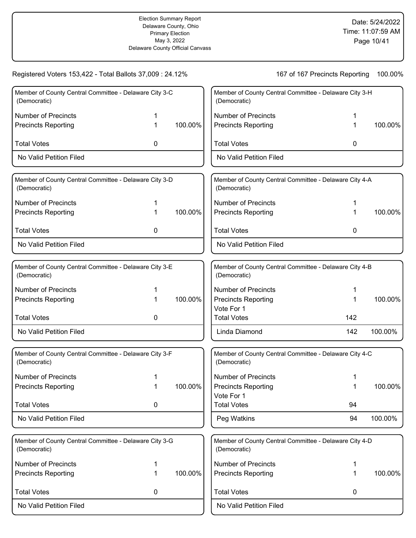| Registered Voters 153,422 - Total Ballots 37,009 : 24.12%              |   |         | 167 of 167 Precincts Reporting           | 100.00%                                                |         |
|------------------------------------------------------------------------|---|---------|------------------------------------------|--------------------------------------------------------|---------|
| Member of County Central Committee - Delaware City 3-C<br>(Democratic) |   |         | (Democratic)                             | Member of County Central Committee - Delaware City 3-H |         |
| <b>Number of Precincts</b>                                             | 1 |         | <b>Number of Precincts</b>               | 1                                                      |         |
| <b>Precincts Reporting</b>                                             | 1 | 100.00% | <b>Precincts Reporting</b>               | 1                                                      | 100.00% |
| <b>Total Votes</b>                                                     | 0 |         | <b>Total Votes</b>                       | 0                                                      |         |
| No Valid Petition Filed                                                |   |         | No Valid Petition Filed                  |                                                        |         |
| Member of County Central Committee - Delaware City 3-D<br>(Democratic) |   |         | (Democratic)                             | Member of County Central Committee - Delaware City 4-A |         |
| <b>Number of Precincts</b>                                             |   |         | <b>Number of Precincts</b>               |                                                        |         |
| <b>Precincts Reporting</b>                                             | 1 | 100.00% | <b>Precincts Reporting</b>               | 1                                                      | 100.00% |
| <b>Total Votes</b>                                                     | 0 |         | <b>Total Votes</b>                       | 0                                                      |         |
| No Valid Petition Filed                                                |   |         | No Valid Petition Filed                  |                                                        |         |
| Member of County Central Committee - Delaware City 3-E<br>(Democratic) |   |         | (Democratic)                             | Member of County Central Committee - Delaware City 4-B |         |
| <b>Number of Precincts</b>                                             |   |         | <b>Number of Precincts</b>               | 1                                                      |         |
| <b>Precincts Reporting</b>                                             | 1 | 100.00% | <b>Precincts Reporting</b><br>Vote For 1 | 1                                                      | 100.00% |
| <b>Total Votes</b>                                                     | 0 |         | <b>Total Votes</b>                       | 142                                                    |         |
| No Valid Petition Filed                                                |   |         | Linda Diamond                            | 142                                                    | 100.00% |
| Member of County Central Committee - Delaware City 3-F<br>(Democratic) |   |         | (Democratic)                             | Member of County Central Committee - Delaware City 4-C |         |
| <b>Number of Precincts</b>                                             | 1 |         | <b>Number of Precincts</b>               | 1                                                      |         |
| <b>Precincts Reporting</b>                                             |   | 100.00% | <b>Precincts Reporting</b>               | 1                                                      | 100.00% |
|                                                                        |   |         | Vote For 1                               |                                                        |         |
| <b>Total Votes</b>                                                     | 0 |         | <b>Total Votes</b>                       | 94                                                     |         |
| No Valid Petition Filed                                                |   |         | Peg Watkins                              | 94                                                     | 100.00% |
| Member of County Central Committee - Delaware City 3-G<br>(Democratic) |   |         | (Democratic)                             | Member of County Central Committee - Delaware City 4-D |         |
| Number of Precincts                                                    | 1 |         | <b>Number of Precincts</b>               | 1                                                      |         |
| <b>Precincts Reporting</b>                                             | 1 | 100.00% | <b>Precincts Reporting</b>               | 1                                                      | 100.00% |
| <b>Total Votes</b>                                                     | 0 |         | <b>Total Votes</b>                       | 0                                                      |         |
| No Valid Petition Filed                                                |   |         | No Valid Petition Filed                  |                                                        |         |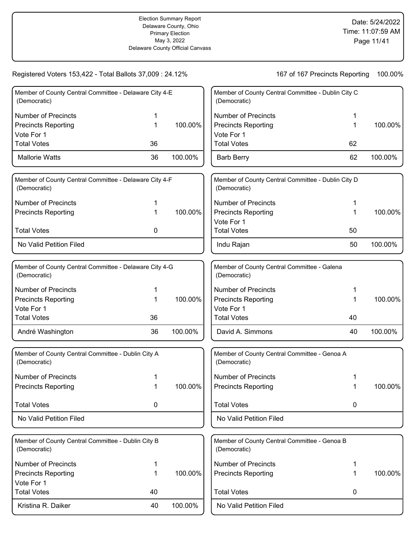| Member of County Central Committee - Delaware City 4-E<br>(Democratic) |         | Member of County Central Committee - Dublin City C<br>(Democratic) |    |         |
|------------------------------------------------------------------------|---------|--------------------------------------------------------------------|----|---------|
| <b>Number of Precincts</b>                                             |         | <b>Number of Precincts</b>                                         |    |         |
| <b>Precincts Reporting</b><br>1                                        | 100.00% | <b>Precincts Reporting</b>                                         |    | 100.00% |
| Vote For 1                                                             |         | Vote For 1                                                         |    |         |
| <b>Total Votes</b><br>36                                               |         | <b>Total Votes</b>                                                 | 62 |         |
| <b>Mallorie Watts</b><br>36                                            | 100.00% | <b>Barb Berry</b>                                                  | 62 | 100.00% |
| Member of County Central Committee - Delaware City 4-F<br>(Democratic) |         | Member of County Central Committee - Dublin City D<br>(Democratic) |    |         |
| <b>Number of Precincts</b>                                             |         | <b>Number of Precincts</b>                                         |    |         |
| <b>Precincts Reporting</b><br>1                                        | 100.00% | <b>Precincts Reporting</b>                                         | 1  | 100.00% |
|                                                                        |         | Vote For 1                                                         |    |         |
| <b>Total Votes</b><br>0                                                |         | <b>Total Votes</b>                                                 | 50 |         |
| No Valid Petition Filed                                                |         | Indu Rajan                                                         | 50 | 100.00% |
| Member of County Central Committee - Delaware City 4-G<br>(Democratic) |         | Member of County Central Committee - Galena<br>(Democratic)        |    |         |
| <b>Number of Precincts</b><br>1                                        |         | <b>Number of Precincts</b>                                         |    |         |
| <b>Precincts Reporting</b><br>1                                        | 100.00% | <b>Precincts Reporting</b>                                         |    | 100.00% |
| Vote For 1                                                             |         | Vote For 1                                                         |    |         |
| <b>Total Votes</b><br>36                                               |         | <b>Total Votes</b>                                                 | 40 |         |
| 36<br>André Washington                                                 | 100.00% | David A. Simmons                                                   | 40 | 100.00% |
| Member of County Central Committee - Dublin City A<br>(Democratic)     |         | Member of County Central Committee - Genoa A<br>(Democratic)       |    |         |
| <b>Number of Precincts</b>                                             |         | <b>Number of Precincts</b>                                         |    |         |
| <b>Precincts Reporting</b>                                             | 100.00% | <b>Precincts Reporting</b>                                         |    | 100.00% |
| <b>Total Votes</b><br>0                                                |         | <b>Total Votes</b>                                                 | 0  |         |
| No Valid Petition Filed                                                |         | No Valid Petition Filed                                            |    |         |
| Member of County Central Committee - Dublin City B<br>(Democratic)     |         | Member of County Central Committee - Genoa B<br>(Democratic)       |    |         |
| <b>Number of Precincts</b><br>1                                        |         | <b>Number of Precincts</b>                                         | 1  |         |
| <b>Precincts Reporting</b><br>1                                        | 100.00% | <b>Precincts Reporting</b>                                         | 1  | 100.00% |
| Vote For 1<br><b>Total Votes</b><br>40                                 |         | <b>Total Votes</b>                                                 | 0  |         |
| Kristina R. Daiker<br>40                                               | 100.00% | No Valid Petition Filed                                            |    |         |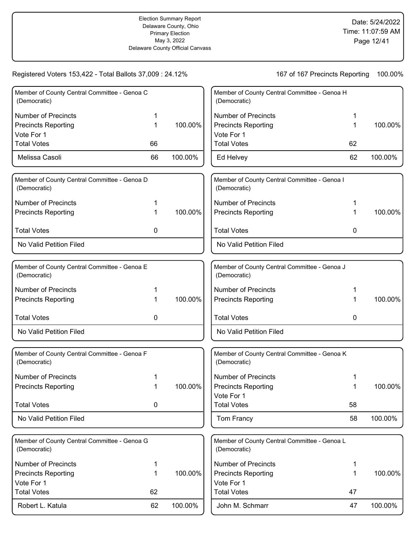| Member of County Central Committee - Genoa C<br>(Democratic) |    |         | Member of County Central Committee - Genoa H<br>(Democratic) |    |         |
|--------------------------------------------------------------|----|---------|--------------------------------------------------------------|----|---------|
| <b>Number of Precincts</b>                                   |    |         | <b>Number of Precincts</b>                                   | 1  |         |
| <b>Precincts Reporting</b>                                   | 1  | 100.00% | <b>Precincts Reporting</b>                                   | 1  | 100.00% |
| Vote For 1                                                   |    |         | Vote For 1                                                   |    |         |
| <b>Total Votes</b>                                           | 66 |         | <b>Total Votes</b>                                           | 62 |         |
| Melissa Casoli                                               | 66 | 100.00% | Ed Helvey                                                    | 62 | 100.00% |
| Member of County Central Committee - Genoa D<br>(Democratic) |    |         | Member of County Central Committee - Genoa I<br>(Democratic) |    |         |
| <b>Number of Precincts</b>                                   |    |         | <b>Number of Precincts</b>                                   |    |         |
| <b>Precincts Reporting</b>                                   | 1  | 100.00% | <b>Precincts Reporting</b>                                   | 1  | 100.00% |
| <b>Total Votes</b>                                           | 0  |         | <b>Total Votes</b>                                           | 0  |         |
| No Valid Petition Filed                                      |    |         | No Valid Petition Filed                                      |    |         |
| Member of County Central Committee - Genoa E                 |    |         | Member of County Central Committee - Genoa J                 |    |         |
| (Democratic)                                                 |    |         | (Democratic)                                                 |    |         |
| <b>Number of Precincts</b>                                   | 1  |         | <b>Number of Precincts</b>                                   | 1  |         |
| <b>Precincts Reporting</b>                                   | 1  | 100.00% | <b>Precincts Reporting</b>                                   |    | 100.00% |
| <b>Total Votes</b>                                           | 0  |         | <b>Total Votes</b>                                           | 0  |         |
| No Valid Petition Filed                                      |    |         | No Valid Petition Filed                                      |    |         |
| Member of County Central Committee - Genoa F<br>(Democratic) |    |         | Member of County Central Committee - Genoa K<br>(Democratic) |    |         |
| <b>Number of Precincts</b>                                   |    |         | <b>Number of Precincts</b>                                   |    |         |
| <b>Precincts Reporting</b>                                   |    | 100.00% | <b>Precincts Reporting</b>                                   |    | 100.00% |
|                                                              |    |         | Vote For 1                                                   |    |         |
| <b>Total Votes</b>                                           | 0  |         | <b>Total Votes</b>                                           | 58 |         |
| No Valid Petition Filed                                      |    |         | Tom Francy                                                   | 58 | 100.00% |
| Member of County Central Committee - Genoa G                 |    |         | Member of County Central Committee - Genoa L                 |    |         |
| (Democratic)                                                 |    |         | (Democratic)                                                 |    |         |
| <b>Number of Precincts</b>                                   | 1  |         | <b>Number of Precincts</b>                                   | 1  |         |
| <b>Precincts Reporting</b>                                   | 1  | 100.00% | <b>Precincts Reporting</b>                                   | 1  | 100.00% |
| Vote For 1                                                   |    |         | Vote For 1                                                   |    |         |
| <b>Total Votes</b>                                           | 62 |         | <b>Total Votes</b>                                           | 47 |         |
| Robert L. Katula                                             | 62 | 100.00% | John M. Schmarr                                              | 47 | 100.00% |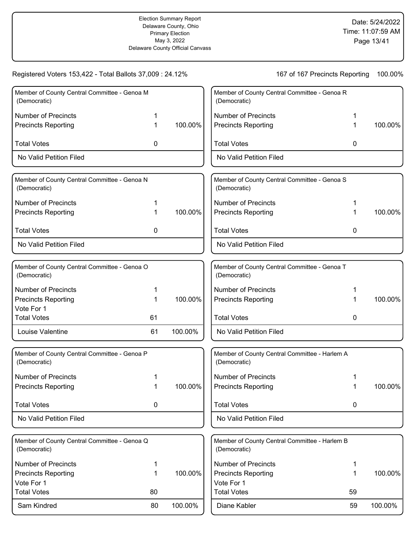100.00%

100.00%

100.00%

100.00%

100.00%

Registered Voters 153,422 - Total Ballots 37,009 : 24.12% 167 0f 167 Precincts Reporting 100.00% Member of County Central Committee - Genoa M (Democratic) Number of Precincts 1 Precincts Reporting 1 No Valid Petition Filed Total Votes 0 100.00% Member of County Central Committee - Genoa N (Democratic) Number of Precincts 1 Precincts Reporting 1 No Valid Petition Filed Total Votes 0 100.00% Member of County Central Committee - Genoa O (Democratic) Number of Precincts 1 Precincts Reporting 1 Vote For 1 Louise Valentine **61** 100.00% Total Votes 61 100.00% Member of County Central Committee - Genoa P (Democratic) Number of Precincts 1 Precincts Reporting 1 No Valid Petition Filed Total Votes **0** 100.00% Member of County Central Committee - Genoa Q (Democratic) Number of Precincts 1 Precincts Reporting 1 Vote For 1 Sam Kindred 80 100.00% Total Votes 80 100.00% Member of County Central Committee - Genoa R (Democratic) Number of Precincts 1 Precincts Reporting 1 No Valid Petition Filed Total Votes 0 Member of County Central Committee - Genoa S (Democratic) Number of Precincts 1 Precincts Reporting 1 No Valid Petition Filed Total Votes 0 Member of County Central Committee - Genoa T (Democratic) Number of Precincts 1 Precincts Reporting 1 No Valid Petition Filed Total Votes 0 Member of County Central Committee - Harlem A (Democratic) Number of Precincts 1 Precincts Reporting 1 No Valid Petition Filed Total Votes **0** Member of County Central Committee - Harlem B (Democratic) Number of Precincts 1 Precincts Reporting 1 Vote For 1 Diane Kabler 59 100.00% Total Votes 59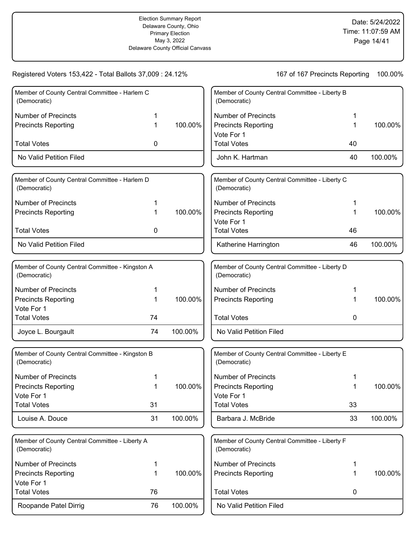| Member of County Central Committee - Harlem C                   |    |         | Member of County Central Committee - Liberty B                 |    |         |
|-----------------------------------------------------------------|----|---------|----------------------------------------------------------------|----|---------|
| (Democratic)                                                    |    |         | (Democratic)                                                   |    |         |
| <b>Number of Precincts</b>                                      |    |         | <b>Number of Precincts</b>                                     |    |         |
| <b>Precincts Reporting</b>                                      | 1  | 100.00% | <b>Precincts Reporting</b>                                     | 1  | 100.00% |
|                                                                 |    |         | Vote For 1                                                     |    |         |
| <b>Total Votes</b>                                              | 0  |         | <b>Total Votes</b>                                             | 40 |         |
| No Valid Petition Filed                                         |    |         | John K. Hartman                                                | 40 | 100.00% |
| Member of County Central Committee - Harlem D                   |    |         | Member of County Central Committee - Liberty C                 |    |         |
| (Democratic)                                                    |    |         | (Democratic)                                                   |    |         |
| <b>Number of Precincts</b>                                      |    |         | <b>Number of Precincts</b>                                     |    |         |
| <b>Precincts Reporting</b>                                      | 1  | 100.00% | <b>Precincts Reporting</b>                                     |    | 100.00% |
|                                                                 |    |         | Vote For 1                                                     |    |         |
| <b>Total Votes</b>                                              | 0  |         | <b>Total Votes</b>                                             | 46 |         |
| No Valid Petition Filed                                         |    |         | Katherine Harrington                                           | 46 | 100.00% |
|                                                                 |    |         |                                                                |    |         |
| Member of County Central Committee - Kingston A<br>(Democratic) |    |         | Member of County Central Committee - Liberty D<br>(Democratic) |    |         |
| <b>Number of Precincts</b>                                      | 1  |         | <b>Number of Precincts</b>                                     |    |         |
| <b>Precincts Reporting</b>                                      | 1  | 100.00% | <b>Precincts Reporting</b>                                     |    | 100.00% |
| Vote For 1                                                      |    |         |                                                                |    |         |
| <b>Total Votes</b>                                              | 74 |         | <b>Total Votes</b>                                             | 0  |         |
| Joyce L. Bourgault                                              | 74 | 100.00% | No Valid Petition Filed                                        |    |         |
| Member of County Central Committee - Kingston B                 |    |         | Member of County Central Committee - Liberty E                 |    |         |
| (Democratic)                                                    |    |         | (Democratic)                                                   |    |         |
| <b>Number of Precincts</b>                                      |    |         | <b>Number of Precincts</b>                                     |    |         |
| <b>Precincts Reporting</b>                                      | 1  | 100.00% | <b>Precincts Reporting</b>                                     |    | 100.00% |
| Vote For 1                                                      |    |         | Vote For 1                                                     |    |         |
| <b>Total Votes</b>                                              | 31 |         | <b>Total Votes</b>                                             | 33 |         |
| Louise A. Douce                                                 | 31 | 100.00% | Barbara J. McBride                                             | 33 | 100.00% |
| Member of County Central Committee - Liberty A                  |    |         | Member of County Central Committee - Liberty F                 |    |         |
| (Democratic)                                                    |    |         | (Democratic)                                                   |    |         |
| <b>Number of Precincts</b>                                      | 1  |         | <b>Number of Precincts</b>                                     | 1  |         |
| <b>Precincts Reporting</b>                                      | 1  | 100.00% | <b>Precincts Reporting</b>                                     | 1  | 100.00% |
| Vote For 1                                                      |    |         |                                                                |    |         |
| <b>Total Votes</b>                                              | 76 |         | <b>Total Votes</b>                                             | 0  |         |
| Roopande Patel Dirrig                                           | 76 | 100.00% | No Valid Petition Filed                                        |    |         |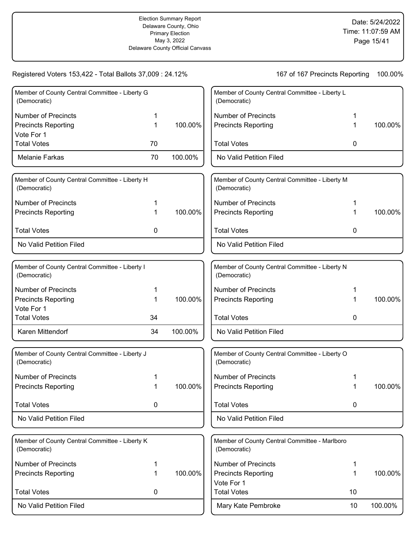| Member of County Central Committee - Liberty G<br>(Democratic) |    |         | Member of County Central Committee - Liberty L<br>(Democratic) |             |         |
|----------------------------------------------------------------|----|---------|----------------------------------------------------------------|-------------|---------|
| <b>Number of Precincts</b>                                     | 1  |         | <b>Number of Precincts</b>                                     |             |         |
| <b>Precincts Reporting</b>                                     | 1  | 100.00% | <b>Precincts Reporting</b>                                     |             | 100.00% |
| Vote For 1                                                     |    |         |                                                                |             |         |
| <b>Total Votes</b>                                             | 70 |         | <b>Total Votes</b>                                             | 0           |         |
| Melanie Farkas                                                 | 70 | 100.00% | No Valid Petition Filed                                        |             |         |
| Member of County Central Committee - Liberty H<br>(Democratic) |    |         | Member of County Central Committee - Liberty M<br>(Democratic) |             |         |
| <b>Number of Precincts</b>                                     | 1  |         | <b>Number of Precincts</b>                                     |             |         |
| <b>Precincts Reporting</b>                                     | 1  | 100.00% | <b>Precincts Reporting</b>                                     |             | 100.00% |
| <b>Total Votes</b>                                             | 0  |         | <b>Total Votes</b>                                             | 0           |         |
| No Valid Petition Filed                                        |    |         | No Valid Petition Filed                                        |             |         |
| Member of County Central Committee - Liberty I                 |    |         | Member of County Central Committee - Liberty N                 |             |         |
| (Democratic)                                                   |    |         | (Democratic)                                                   |             |         |
| <b>Number of Precincts</b>                                     |    |         | <b>Number of Precincts</b>                                     |             |         |
| <b>Precincts Reporting</b>                                     | 1  | 100.00% | <b>Precincts Reporting</b>                                     |             | 100.00% |
| Vote For 1<br><b>Total Votes</b>                               |    |         | <b>Total Votes</b>                                             |             |         |
|                                                                | 34 |         |                                                                | 0           |         |
| Karen Mittendorf                                               | 34 | 100.00% | No Valid Petition Filed                                        |             |         |
| Member of County Central Committee - Liberty J<br>(Democratic) |    |         | Member of County Central Committee - Liberty O<br>(Democratic) |             |         |
| <b>Number of Precincts</b>                                     |    |         | <b>Number of Precincts</b>                                     |             |         |
| <b>Precincts Reporting</b>                                     |    | 100.00% | <b>Precincts Reporting</b>                                     |             | 100.00% |
| <b>Total Votes</b>                                             | 0  |         | <b>Total Votes</b>                                             | $\mathbf 0$ |         |
| No Valid Petition Filed                                        |    |         | No Valid Petition Filed                                        |             |         |
| Member of County Central Committee - Liberty K<br>(Democratic) |    |         | Member of County Central Committee - Marlboro<br>(Democratic)  |             |         |
| <b>Number of Precincts</b>                                     | 1  |         | <b>Number of Precincts</b>                                     | 1           |         |
| <b>Precincts Reporting</b>                                     | 1  | 100.00% | <b>Precincts Reporting</b>                                     | 1           | 100.00% |
| <b>Total Votes</b>                                             | 0  |         | Vote For 1<br><b>Total Votes</b>                               | 10          |         |
|                                                                |    |         |                                                                |             |         |
| No Valid Petition Filed                                        |    |         | Mary Kate Pembroke                                             | 10          | 100.00% |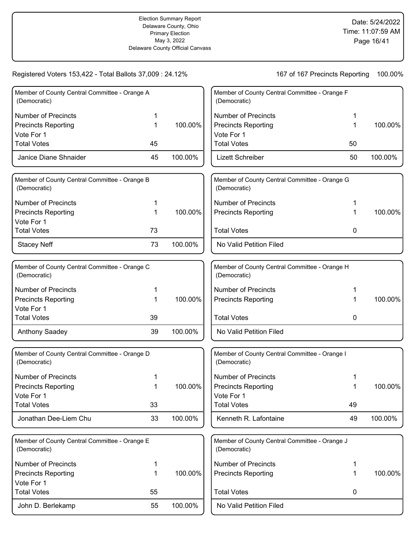| Member of County Central Committee - Orange A<br>(Democratic) |    |         | Member of County Central Committee - Orange F<br>(Democratic) |    |         |
|---------------------------------------------------------------|----|---------|---------------------------------------------------------------|----|---------|
| <b>Number of Precincts</b>                                    |    |         | <b>Number of Precincts</b>                                    | 1  |         |
| <b>Precincts Reporting</b>                                    | 1  | 100.00% | <b>Precincts Reporting</b>                                    | 1  | 100.00% |
| Vote For 1                                                    |    |         | Vote For 1                                                    |    |         |
| <b>Total Votes</b>                                            | 45 |         | <b>Total Votes</b>                                            | 50 |         |
| Janice Diane Shnaider                                         | 45 | 100.00% | <b>Lizett Schreiber</b>                                       | 50 | 100.00% |
| Member of County Central Committee - Orange B<br>(Democratic) |    |         | Member of County Central Committee - Orange G<br>(Democratic) |    |         |
| <b>Number of Precincts</b>                                    |    |         | <b>Number of Precincts</b>                                    |    |         |
| <b>Precincts Reporting</b>                                    | 1  | 100.00% | <b>Precincts Reporting</b>                                    | 1  | 100.00% |
| Vote For 1                                                    |    |         |                                                               |    |         |
| <b>Total Votes</b>                                            | 73 |         | <b>Total Votes</b>                                            | 0  |         |
| <b>Stacey Neff</b>                                            | 73 | 100.00% | No Valid Petition Filed                                       |    |         |
| Member of County Central Committee - Orange C<br>(Democratic) |    |         | Member of County Central Committee - Orange H<br>(Democratic) |    |         |
| <b>Number of Precincts</b>                                    | 1  |         | <b>Number of Precincts</b>                                    |    |         |
| <b>Precincts Reporting</b>                                    | 1  | 100.00% | <b>Precincts Reporting</b>                                    | 1  | 100.00% |
| Vote For 1                                                    |    |         |                                                               |    |         |
| <b>Total Votes</b>                                            | 39 |         | <b>Total Votes</b>                                            | 0  |         |
| <b>Anthony Saadey</b>                                         | 39 | 100.00% | No Valid Petition Filed                                       |    |         |
| Member of County Central Committee - Orange D<br>(Democratic) |    |         | Member of County Central Committee - Orange I<br>(Democratic) |    |         |
| <b>Number of Precincts</b>                                    |    |         | <b>Number of Precincts</b>                                    |    |         |
| Precincts Reporting                                           |    | 100.00% | <b>Precincts Reporting</b>                                    |    | 100.00% |
| Vote For 1                                                    |    |         | Vote For 1                                                    |    |         |
| <b>Total Votes</b>                                            | 33 |         | <b>Total Votes</b>                                            | 49 |         |
| Jonathan Dee-Liem Chu                                         | 33 | 100.00% | Kenneth R. Lafontaine                                         | 49 | 100.00% |
| Member of County Central Committee - Orange E<br>(Democratic) |    |         | Member of County Central Committee - Orange J<br>(Democratic) |    |         |
| <b>Number of Precincts</b>                                    | 1  |         | <b>Number of Precincts</b>                                    | 1  |         |
| <b>Precincts Reporting</b>                                    | 1  | 100.00% | <b>Precincts Reporting</b>                                    | 1  | 100.00% |
| Vote For 1                                                    |    |         |                                                               |    |         |
| <b>Total Votes</b>                                            | 55 |         | <b>Total Votes</b>                                            | 0  |         |
| John D. Berlekamp                                             | 55 | 100.00% | No Valid Petition Filed                                       |    |         |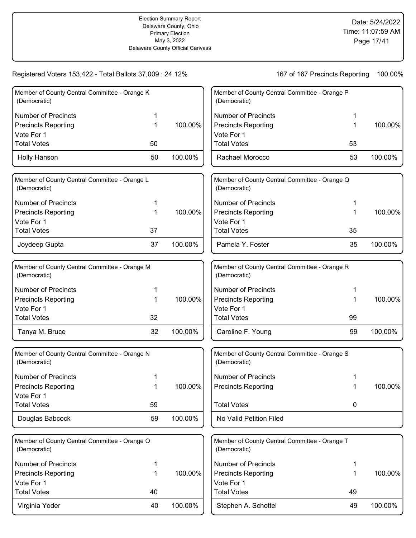| Member of County Central Committee - Orange K<br>(Democratic) |    |         | Member of County Central Committee - Orange P<br>(Democratic) |             |         |
|---------------------------------------------------------------|----|---------|---------------------------------------------------------------|-------------|---------|
| <b>Number of Precincts</b>                                    |    |         | <b>Number of Precincts</b>                                    |             |         |
| <b>Precincts Reporting</b>                                    | 1  | 100.00% | <b>Precincts Reporting</b>                                    |             | 100.00% |
| Vote For 1                                                    |    |         | Vote For 1                                                    |             |         |
| <b>Total Votes</b>                                            | 50 |         | <b>Total Votes</b>                                            | 53          |         |
| Holly Hanson                                                  | 50 | 100.00% | Rachael Morocco                                               | 53          | 100.00% |
| Member of County Central Committee - Orange L<br>(Democratic) |    |         | Member of County Central Committee - Orange Q<br>(Democratic) |             |         |
| <b>Number of Precincts</b>                                    | 1  |         | <b>Number of Precincts</b>                                    |             |         |
| <b>Precincts Reporting</b>                                    | 1  | 100.00% | <b>Precincts Reporting</b>                                    | 1           | 100.00% |
| Vote For 1                                                    |    |         | Vote For 1                                                    |             |         |
| <b>Total Votes</b>                                            | 37 |         | <b>Total Votes</b>                                            | 35          |         |
| Joydeep Gupta                                                 | 37 | 100.00% | Pamela Y. Foster                                              | 35          | 100.00% |
| Member of County Central Committee - Orange M<br>(Democratic) |    |         | Member of County Central Committee - Orange R<br>(Democratic) |             |         |
| <b>Number of Precincts</b>                                    | 1  |         | <b>Number of Precincts</b>                                    |             |         |
| <b>Precincts Reporting</b>                                    | 1  | 100.00% | <b>Precincts Reporting</b>                                    |             | 100.00% |
| Vote For 1                                                    |    |         | Vote For 1                                                    |             |         |
| <b>Total Votes</b>                                            | 32 |         | <b>Total Votes</b>                                            | 99          |         |
| Tanya M. Bruce                                                | 32 | 100.00% | Caroline F. Young                                             | 99          | 100.00% |
| Member of County Central Committee - Orange N<br>(Democratic) |    |         | Member of County Central Committee - Orange S<br>(Democratic) |             |         |
| <b>Number of Precincts</b>                                    | 1  |         | <b>Number of Precincts</b>                                    |             |         |
| Precincts Reporting                                           | 1  | 100.00% | <b>Precincts Reporting</b>                                    |             | 100.00% |
| Vote For 1                                                    |    |         |                                                               |             |         |
| <b>Total Votes</b>                                            | 59 |         | <b>Total Votes</b>                                            | $\mathbf 0$ |         |
| Douglas Babcock                                               | 59 | 100.00% | No Valid Petition Filed                                       |             |         |
| Member of County Central Committee - Orange O<br>(Democratic) |    |         | Member of County Central Committee - Orange T<br>(Democratic) |             |         |
| <b>Number of Precincts</b>                                    | 1  |         | <b>Number of Precincts</b>                                    | 1           |         |
| <b>Precincts Reporting</b>                                    | 1  | 100.00% | <b>Precincts Reporting</b>                                    | 1           | 100.00% |
| Vote For 1                                                    |    |         | Vote For 1                                                    |             |         |
| <b>Total Votes</b>                                            | 40 |         | <b>Total Votes</b>                                            | 49          |         |
| Virginia Yoder                                                | 40 | 100.00% | Stephen A. Schottel                                           | 49          | 100.00% |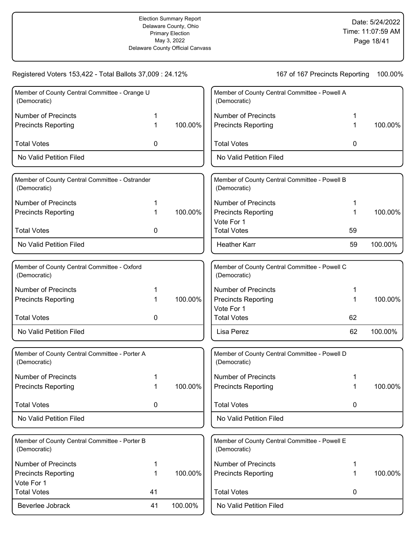Registered Voters 153,422 - Total Ballots 37,009 : 24.12% 167 0f 167 Precincts Reporting 100.00% Member of County Central Committee - Orange U (Democratic) Number of Precincts 1 Precincts Reporting 1 No Valid Petition Filed Total Votes 0 100.00% Member of County Central Committee - Ostrander (Democratic) Number of Precincts 1 Precincts Reporting 1 No Valid Petition Filed Total Votes 0 100.00% Member of County Central Committee - Oxford (Democratic) Number of Precincts 1 Precincts Reporting 1 No Valid Petition Filed Total Votes 0 100.00% Member of County Central Committee - Porter A (Democratic) Number of Precincts 1 Precincts Reporting 1 No Valid Petition Filed Total Votes **0** 100.00% Member of County Central Committee - Porter B (Democratic) Number of Precincts 1 Precincts Reporting 1 Vote For 1 Beverlee Jobrack 41 100.00% Total Votes 41 100.00% Member of County Central Committee - Powell A (Democratic) Number of Precincts 1 Precincts Reporting 1 No Valid Petition Filed Total Votes 0 100.00% Member of County Central Committee - Powell B (Democratic) Number of Precincts 1 Precincts Reporting 1 Vote For 1 Heather Karr 69 100.00% Total Votes 59 100.00% Member of County Central Committee - Powell C (Democratic) Number of Precincts 1 Precincts Reporting 1 Vote For 1 Lisa Perez 62 100.00% Total Votes 62 100.00% Member of County Central Committee - Powell D (Democratic) Number of Precincts 1 Precincts Reporting 1 No Valid Petition Filed Total Votes **0** 100.00% Member of County Central Committee - Powell E (Democratic) Number of Precincts 1 Precincts Reporting 1 No Valid Petition Filed Total Votes 0 100.00%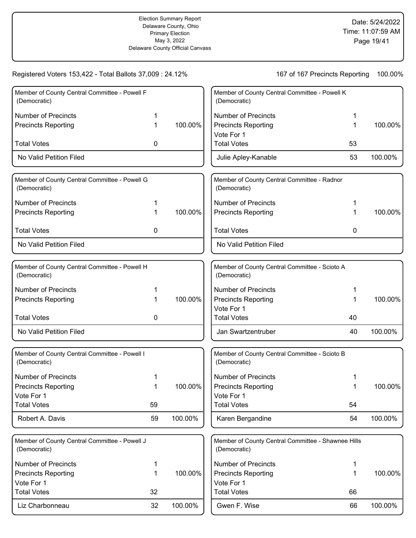|             |         | Member of County Central Committee - Powell K<br>(Democratic) |                                                                                                                 |                                                                                        |
|-------------|---------|---------------------------------------------------------------|-----------------------------------------------------------------------------------------------------------------|----------------------------------------------------------------------------------------|
|             |         | <b>Number of Precincts</b>                                    |                                                                                                                 |                                                                                        |
| 1           | 100.00% | <b>Precincts Reporting</b>                                    | 1                                                                                                               | 100.00%                                                                                |
|             |         | Vote For 1                                                    |                                                                                                                 |                                                                                        |
| 0           |         |                                                               |                                                                                                                 |                                                                                        |
|             |         | Julie Apley-Kanable                                           | 53                                                                                                              | 100.00%                                                                                |
|             |         | Member of County Central Committee - Radnor<br>(Democratic)   |                                                                                                                 |                                                                                        |
|             |         | <b>Number of Precincts</b>                                    |                                                                                                                 |                                                                                        |
| 1           | 100.00% | <b>Precincts Reporting</b>                                    |                                                                                                                 | 100.00%                                                                                |
| 0           |         | <b>Total Votes</b>                                            | 0                                                                                                               |                                                                                        |
|             |         | No Valid Petition Filed                                       |                                                                                                                 |                                                                                        |
|             |         |                                                               |                                                                                                                 |                                                                                        |
|             |         | (Democratic)                                                  |                                                                                                                 |                                                                                        |
| 1           |         | <b>Number of Precincts</b>                                    |                                                                                                                 |                                                                                        |
| 1           | 100.00% | <b>Precincts Reporting</b>                                    | 1                                                                                                               | 100.00%                                                                                |
|             |         | Vote For 1                                                    |                                                                                                                 |                                                                                        |
|             |         |                                                               |                                                                                                                 |                                                                                        |
|             |         | Jan Swartzentruber                                            |                                                                                                                 | 100.00%                                                                                |
|             |         | Member of County Central Committee - Scioto B<br>(Democratic) |                                                                                                                 |                                                                                        |
|             |         | <b>Number of Precincts</b>                                    |                                                                                                                 |                                                                                        |
|             | 100.00% | <b>Precincts Reporting</b>                                    |                                                                                                                 | 100.00%                                                                                |
|             |         | Vote For 1                                                    |                                                                                                                 |                                                                                        |
|             |         |                                                               |                                                                                                                 |                                                                                        |
| 59          | 100.00% | Karen Bergandine                                              | 54                                                                                                              | 100.00%                                                                                |
|             |         |                                                               |                                                                                                                 |                                                                                        |
|             |         | (Democratic)                                                  |                                                                                                                 |                                                                                        |
| 1           |         | <b>Number of Precincts</b>                                    | 1                                                                                                               |                                                                                        |
| $\mathbf 1$ | 100.00% | <b>Precincts Reporting</b>                                    | 1                                                                                                               | 100.00%                                                                                |
|             |         | Vote For 1                                                    |                                                                                                                 |                                                                                        |
| 32          |         | <b>Total Votes</b>                                            |                                                                                                                 |                                                                                        |
| 32          | 100.00% | Gwen F. Wise                                                  |                                                                                                                 | 100.00%                                                                                |
|             | 0<br>59 |                                                               | <b>Total Votes</b><br>Member of County Central Committee - Scioto A<br><b>Total Votes</b><br><b>Total Votes</b> | 53<br>40<br>40<br>54<br>Member of County Central Committee - Shawnee Hills<br>66<br>66 |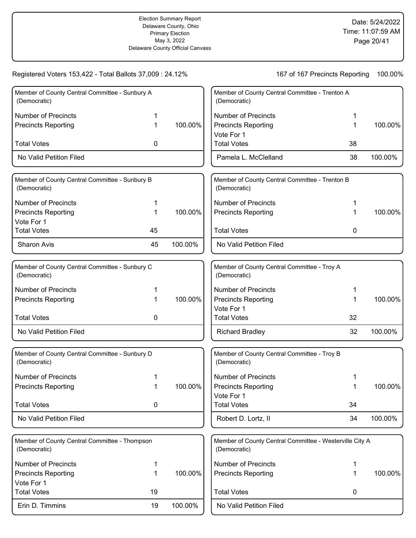| Member of County Central Committee - Sunbury A<br>(Democratic) |    |         | Member of County Central Committee - Trenton A<br>(Democratic)          |    |         |
|----------------------------------------------------------------|----|---------|-------------------------------------------------------------------------|----|---------|
| <b>Number of Precincts</b>                                     |    |         | <b>Number of Precincts</b>                                              |    |         |
| <b>Precincts Reporting</b>                                     | 1  | 100.00% | <b>Precincts Reporting</b>                                              | 1  | 100.00% |
|                                                                |    |         | Vote For 1                                                              |    |         |
| <b>Total Votes</b>                                             | 0  |         | <b>Total Votes</b>                                                      | 38 |         |
| No Valid Petition Filed                                        |    |         | Pamela L. McClelland                                                    | 38 | 100.00% |
| Member of County Central Committee - Sunbury B<br>(Democratic) |    |         | Member of County Central Committee - Trenton B<br>(Democratic)          |    |         |
| <b>Number of Precincts</b>                                     | 1  |         | <b>Number of Precincts</b>                                              |    |         |
| <b>Precincts Reporting</b>                                     | 1  | 100.00% | <b>Precincts Reporting</b>                                              |    | 100.00% |
| Vote For 1                                                     |    |         |                                                                         |    |         |
| <b>Total Votes</b>                                             | 45 |         | <b>Total Votes</b>                                                      | 0  |         |
| Sharon Avis                                                    | 45 | 100.00% | No Valid Petition Filed                                                 |    |         |
|                                                                |    |         |                                                                         |    |         |
| Member of County Central Committee - Sunbury C<br>(Democratic) |    |         | Member of County Central Committee - Troy A<br>(Democratic)             |    |         |
| <b>Number of Precincts</b>                                     |    |         | <b>Number of Precincts</b>                                              |    |         |
| <b>Precincts Reporting</b>                                     | 1  | 100.00% | <b>Precincts Reporting</b>                                              | 1  | 100.00% |
|                                                                |    |         | Vote For 1                                                              |    |         |
| <b>Total Votes</b>                                             | 0  |         | <b>Total Votes</b>                                                      | 32 |         |
| No Valid Petition Filed                                        |    |         | <b>Richard Bradley</b>                                                  | 32 | 100.00% |
| Member of County Central Committee - Sunbury D<br>(Democratic) |    |         | Member of County Central Committee - Troy B<br>(Democratic)             |    |         |
| <b>Number of Precincts</b>                                     |    |         | <b>Number of Precincts</b>                                              |    |         |
| <b>Precincts Reporting</b>                                     | 1  | 100.00% | <b>Precincts Reporting</b>                                              |    | 100.00% |
|                                                                |    |         | Vote For 1                                                              |    |         |
| <b>Total Votes</b>                                             | 0  |         | <b>Total Votes</b>                                                      | 34 |         |
| No Valid Petition Filed                                        |    |         | Robert D. Lortz, II                                                     | 34 | 100.00% |
| Member of County Central Committee - Thompson<br>(Democratic)  |    |         | Member of County Central Committee - Westerville City A<br>(Democratic) |    |         |
| <b>Number of Precincts</b>                                     | 1  |         | <b>Number of Precincts</b>                                              | 1  |         |
| <b>Precincts Reporting</b>                                     | 1  | 100.00% | <b>Precincts Reporting</b>                                              | 1  | 100.00% |
| Vote For 1                                                     |    |         |                                                                         |    |         |
| <b>Total Votes</b>                                             | 19 |         | <b>Total Votes</b>                                                      | 0  |         |
| Erin D. Timmins                                                | 19 | 100.00% | No Valid Petition Filed                                                 |    |         |
|                                                                |    |         |                                                                         |    |         |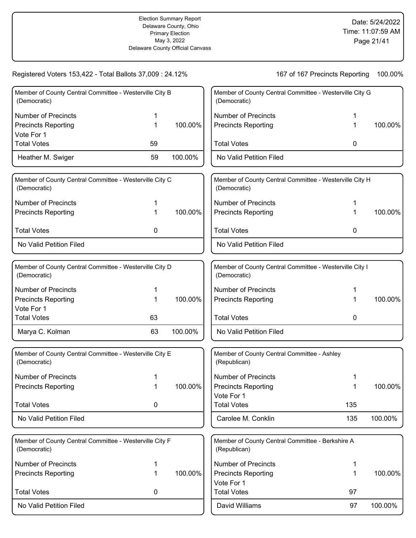| Member of County Central Committee - Westerville City B<br>(Democratic) |    |         | Member of County Central Committee - Westerville City G<br>(Democratic) |     |         |
|-------------------------------------------------------------------------|----|---------|-------------------------------------------------------------------------|-----|---------|
| <b>Number of Precincts</b>                                              |    |         | <b>Number of Precincts</b>                                              |     |         |
| <b>Precincts Reporting</b><br>Vote For 1                                | 1  | 100.00% | <b>Precincts Reporting</b>                                              |     | 100.00% |
| <b>Total Votes</b>                                                      | 59 |         | <b>Total Votes</b>                                                      | 0   |         |
| Heather M. Swiger                                                       | 59 | 100.00% | No Valid Petition Filed                                                 |     |         |
| Member of County Central Committee - Westerville City C<br>(Democratic) |    |         | Member of County Central Committee - Westerville City H<br>(Democratic) |     |         |
| <b>Number of Precincts</b>                                              | 1  |         | <b>Number of Precincts</b>                                              |     |         |
| <b>Precincts Reporting</b>                                              | 1  | 100.00% | <b>Precincts Reporting</b>                                              | 1   | 100.00% |
| <b>Total Votes</b>                                                      | 0  |         | <b>Total Votes</b>                                                      | 0   |         |
| No Valid Petition Filed                                                 |    |         | No Valid Petition Filed                                                 |     |         |
| Member of County Central Committee - Westerville City D<br>(Democratic) |    |         | Member of County Central Committee - Westerville City I<br>(Democratic) |     |         |
| <b>Number of Precincts</b>                                              | 1  |         | <b>Number of Precincts</b>                                              | 1   |         |
| <b>Precincts Reporting</b>                                              | 1  | 100.00% | <b>Precincts Reporting</b>                                              | 1   | 100.00% |
| Vote For 1<br><b>Total Votes</b>                                        | 63 |         | <b>Total Votes</b>                                                      | 0   |         |
| Marya C. Kolman                                                         | 63 | 100.00% | No Valid Petition Filed                                                 |     |         |
| Member of County Central Committee - Westerville City E<br>(Democratic) |    |         | Member of County Central Committee - Ashley<br>(Republican)             |     |         |
| <b>Number of Precincts</b>                                              |    |         | <b>Number of Precincts</b>                                              |     |         |
| <b>Precincts Reporting</b>                                              |    | 100.00% | <b>Precincts Reporting</b>                                              |     | 100.00% |
| <b>Total Votes</b>                                                      | 0  |         | Vote For 1<br><b>Total Votes</b>                                        | 135 |         |
| No Valid Petition Filed                                                 |    |         | Carolee M. Conklin                                                      | 135 | 100.00% |
|                                                                         |    |         |                                                                         |     |         |
| Member of County Central Committee - Westerville City F<br>(Democratic) |    |         | Member of County Central Committee - Berkshire A<br>(Republican)        |     |         |
| <b>Number of Precincts</b>                                              | 1  |         | <b>Number of Precincts</b>                                              | 1   |         |
| <b>Precincts Reporting</b>                                              | 1  | 100.00% | <b>Precincts Reporting</b>                                              | 1   | 100.00% |
| <b>Total Votes</b>                                                      | 0  |         | Vote For 1<br><b>Total Votes</b>                                        | 97  |         |
|                                                                         |    |         |                                                                         |     |         |
| No Valid Petition Filed                                                 |    |         | David Williams                                                          | 97  | 100.00% |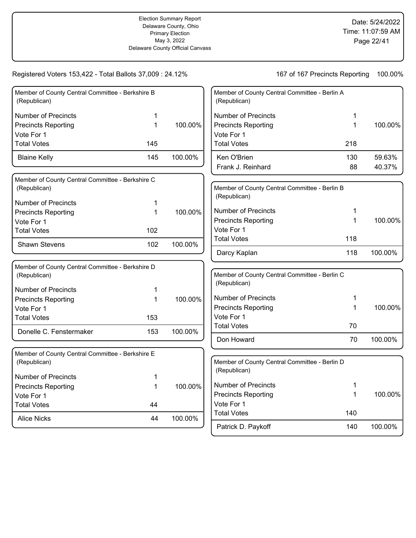| Member of County Central Committee - Berkshire B<br>(Republican) |     |         | Member of Coun<br>(Republican) |
|------------------------------------------------------------------|-----|---------|--------------------------------|
| <b>Number of Precincts</b>                                       | 1   |         | Number of Pred                 |
| <b>Precincts Reporting</b>                                       | 1   | 100.00% | <b>Precincts Repo</b>          |
| Vote For 1                                                       |     |         | Vote For 1                     |
| <b>Total Votes</b>                                               | 145 |         | <b>Total Votes</b>             |
| <b>Blaine Kelly</b>                                              | 145 | 100.00% | Ken O'Brien<br>Frank J. Reinh  |
| Member of County Central Committee - Berkshire C                 |     |         |                                |
| (Republican)                                                     |     |         | Member of Coun                 |
| <b>Number of Precincts</b>                                       | 1   |         | (Republican)                   |
| <b>Precincts Reporting</b>                                       | 1   | 100.00% | Number of Pred                 |
| Vote For 1                                                       |     |         | <b>Precincts Repo</b>          |
| <b>Total Votes</b>                                               | 102 |         | Vote For 1                     |
| <b>Shawn Stevens</b>                                             | 102 | 100.00% | <b>Total Votes</b>             |
|                                                                  |     |         | Darcy Kaplan                   |
| Member of County Central Committee - Berkshire D<br>(Republican) |     |         | Member of Coun                 |
| <b>Number of Precincts</b>                                       | 1   |         | (Republican)                   |
| <b>Precincts Reporting</b>                                       | 1   | 100.00% | Number of Pred                 |
| Vote For 1                                                       |     |         | <b>Precincts Repo</b>          |
| <b>Total Votes</b>                                               | 153 |         | Vote For 1                     |
| Donelle C. Fenstermaker                                          | 153 | 100.00% | <b>Total Votes</b>             |
|                                                                  |     |         | Don Howard                     |
| Member of County Central Committee - Berkshire E                 |     |         |                                |
| (Republican)                                                     |     |         | Member of Coun                 |
| <b>Number of Precincts</b>                                       | 1   |         | (Republican)                   |
| <b>Precincts Reporting</b>                                       | 1   | 100.00% | Number of Pred                 |
| Vote For 1                                                       |     |         | <b>Precincts Repo</b>          |
| <b>Total Votes</b>                                               | 44  |         | Vote For 1                     |
| <b>Alice Nicks</b>                                               | 44  | 100.00% | <b>Total Votes</b>             |

| Number of Precincts        |     |         |
|----------------------------|-----|---------|
| <b>Precincts Reporting</b> |     | 100.00% |
| Vote For 1                 |     |         |
| <b>Total Votes</b>         | 218 |         |
| Ken O'Brien                | 130 | 59.63%  |
| Frank J. Reinhard          | 88  | 40.37%  |

| (Republican)               |     |         |
|----------------------------|-----|---------|
| Number of Precincts        | 1   |         |
| <b>Precincts Reporting</b> | 1.  | 100.00% |
| Vote For 1                 |     |         |
| Total Votes                | 118 |         |
| Darcy Kaplan               | 118 | 100.00% |

| Member of County Central Committee - Berlin C<br>(Republican) |    |            |
|---------------------------------------------------------------|----|------------|
| Number of Precincts                                           | 1  |            |
| <b>Precincts Reporting</b>                                    | 1  | $100.00\%$ |
| Vote For 1                                                    |    |            |
| <b>Total Votes</b>                                            | 70 |            |
| Don Howard                                                    | 70 | 100.00%    |

| Member of County Central Committee - Berlin D<br>(Republican) |     |         |
|---------------------------------------------------------------|-----|---------|
| Number of Precincts                                           | 1   |         |
| <b>Precincts Reporting</b>                                    | 1   | 100.00% |
| Vote For 1                                                    |     |         |
| <b>Total Votes</b>                                            | 140 |         |
| Patrick D. Paykoff                                            | 140 | 100.00% |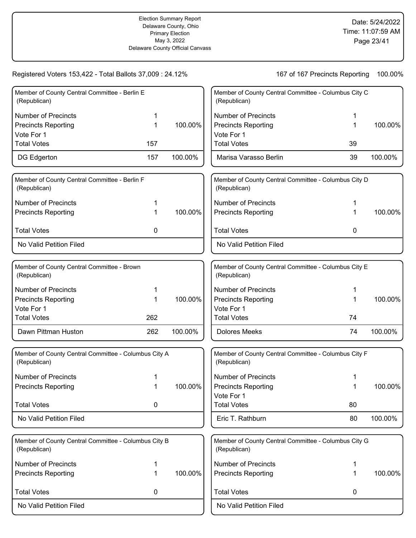| Member of County Central Committee - Berlin E<br>(Republican)        |     |         | Member of County Central Committee - Columbus City C<br>(Republican) |    |         |
|----------------------------------------------------------------------|-----|---------|----------------------------------------------------------------------|----|---------|
| <b>Number of Precincts</b>                                           |     |         | <b>Number of Precincts</b>                                           |    |         |
| <b>Precincts Reporting</b>                                           | 1   | 100.00% | <b>Precincts Reporting</b>                                           | 1  | 100.00% |
| Vote For 1                                                           |     |         | Vote For 1                                                           |    |         |
| <b>Total Votes</b>                                                   | 157 |         | <b>Total Votes</b>                                                   | 39 |         |
| DG Edgerton                                                          | 157 | 100.00% | Marisa Varasso Berlin                                                | 39 | 100.00% |
| Member of County Central Committee - Berlin F<br>(Republican)        |     |         | Member of County Central Committee - Columbus City D<br>(Republican) |    |         |
| <b>Number of Precincts</b>                                           | 1   |         | <b>Number of Precincts</b>                                           |    |         |
| <b>Precincts Reporting</b>                                           | 1   | 100.00% | <b>Precincts Reporting</b>                                           | 1  | 100.00% |
| <b>Total Votes</b>                                                   | 0   |         | <b>Total Votes</b>                                                   | 0  |         |
| No Valid Petition Filed                                              |     |         | No Valid Petition Filed                                              |    |         |
| Member of County Central Committee - Brown<br>(Republican)           |     |         | Member of County Central Committee - Columbus City E<br>(Republican) |    |         |
| <b>Number of Precincts</b>                                           | 1   |         | <b>Number of Precincts</b>                                           | 1  |         |
| <b>Precincts Reporting</b>                                           | 1   | 100.00% | <b>Precincts Reporting</b>                                           | 1  | 100.00% |
| Vote For 1                                                           |     |         | Vote For 1                                                           |    |         |
| <b>Total Votes</b>                                                   | 262 |         | <b>Total Votes</b>                                                   | 74 |         |
| Dawn Pittman Huston                                                  | 262 | 100.00% | <b>Dolores Meeks</b>                                                 | 74 | 100.00% |
| Member of County Central Committee - Columbus City A<br>(Republican) |     |         | Member of County Central Committee - Columbus City F<br>(Republican) |    |         |
| <b>Number of Precincts</b>                                           |     |         | <b>Number of Precincts</b>                                           |    |         |
| <b>Precincts Reporting</b>                                           | 1   | 100.00% | <b>Precincts Reporting</b>                                           |    | 100.00% |
|                                                                      |     |         | Vote For 1                                                           |    |         |
| <b>Total Votes</b>                                                   | 0   |         | <b>Total Votes</b>                                                   | 80 |         |
| No Valid Petition Filed                                              |     |         | Eric T. Rathburn                                                     | 80 | 100.00% |
| Member of County Central Committee - Columbus City B<br>(Republican) |     |         | Member of County Central Committee - Columbus City G<br>(Republican) |    |         |
| <b>Number of Precincts</b>                                           | 1   |         | <b>Number of Precincts</b>                                           | 1  |         |
| <b>Precincts Reporting</b>                                           | 1   | 100.00% | <b>Precincts Reporting</b>                                           | 1  | 100.00% |
| <b>Total Votes</b>                                                   | 0   |         | <b>Total Votes</b>                                                   | 0  |         |
| No Valid Petition Filed                                              |     |         | No Valid Petition Filed                                              |    |         |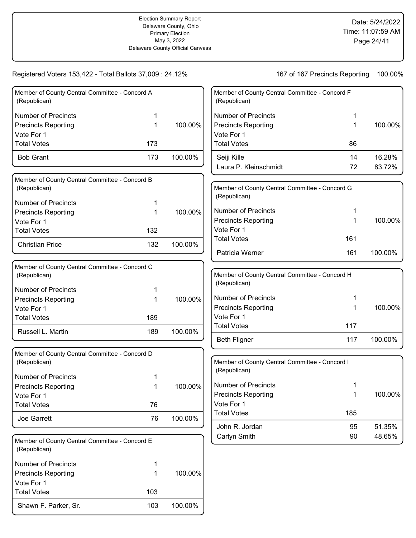| Member of County Central Committee - Concord A<br>(Republican) |     |         |
|----------------------------------------------------------------|-----|---------|
| Number of Precincts                                            | 1   |         |
| <b>Precincts Reporting</b>                                     |     | 100.00% |
| Vote For 1                                                     |     |         |
| Total Votes                                                    | 173 |         |
| <b>Bob Grant</b>                                               | 173 | 100.00% |

| Member of County Central Committee - Concord B<br>(Republican) |     |         |
|----------------------------------------------------------------|-----|---------|
| Number of Precincts                                            | 1   |         |
| <b>Precincts Reporting</b>                                     |     | 100.00% |
| Vote For 1                                                     |     |         |
| <b>Total Votes</b>                                             | 132 |         |
| <b>Christian Price</b>                                         | 132 | 100.00% |

| Member of County Central Committee - Concord C<br>(Republican) |     |            |
|----------------------------------------------------------------|-----|------------|
| Number of Precincts                                            | 1   |            |
| <b>Precincts Reporting</b>                                     | 1   | $100.00\%$ |
| Vote For 1                                                     |     |            |
| <b>Total Votes</b>                                             | 189 |            |
| Russell L. Martin                                              | 189 | 100.00%    |

| Member of County Central Committee - Concord D<br>(Republican) |    |            |
|----------------------------------------------------------------|----|------------|
| Number of Precincts                                            | 1  |            |
| <b>Precincts Reporting</b>                                     | 1  | $100.00\%$ |
| Vote For 1                                                     |    |            |
| <b>Total Votes</b>                                             | 76 |            |
| Joe Garrett                                                    | 76 | 100.00%    |

| Member of County Central Committee - Concord E<br>(Republican) |     |         |
|----------------------------------------------------------------|-----|---------|
| Number of Precincts                                            | 1   |         |
| <b>Precincts Reporting</b>                                     | 1   | 100.00% |
| Vote For 1                                                     |     |         |
| <b>Total Votes</b>                                             | 103 |         |
| Shawn F. Parker, Sr.                                           | 103 | 100.00% |

| Member of County Central Committee - Concord F<br>(Republican) |    |         |
|----------------------------------------------------------------|----|---------|
| Number of Precincts                                            | 1  |         |
| <b>Precincts Reporting</b>                                     | 1  | 100.00% |
| Vote For 1                                                     |    |         |
| <b>Total Votes</b>                                             | 86 |         |
| Seiji Kille                                                    | 14 | 16.28%  |
| Laura P. Kleinschmidt                                          | 72 | 83.72%  |
| Member of County Central Committee - Concord G<br>(Republican) |    |         |

| (Republican)               |     |         |
|----------------------------|-----|---------|
| Number of Precincts        | 1   |         |
| <b>Precincts Reporting</b> | 1   | 100.00% |
| Vote For 1                 |     |         |
| Total Votes                | 161 |         |
| <b>Patricia Werner</b>     | 161 | 100.00% |

| Member of County Central Committee - Concord H<br>(Republican) |     |         |
|----------------------------------------------------------------|-----|---------|
| Number of Precincts                                            | 1   |         |
| <b>Precincts Reporting</b>                                     | 1   | 100.00% |
| Vote For 1                                                     |     |         |
| <b>Total Votes</b>                                             | 117 |         |
| Beth Fligner                                                   | 117 | 100.00% |

| Member of County Central Committee - Concord I<br>(Republican) |     |         |
|----------------------------------------------------------------|-----|---------|
| Number of Precincts                                            | 1   |         |
| <b>Precincts Reporting</b>                                     | 1   | 100.00% |
| Vote For 1                                                     |     |         |
| <b>Total Votes</b>                                             | 185 |         |
| John R. Jordan                                                 | 95  | 51.35%  |
| Carlyn Smith                                                   | 90  | 48.65%  |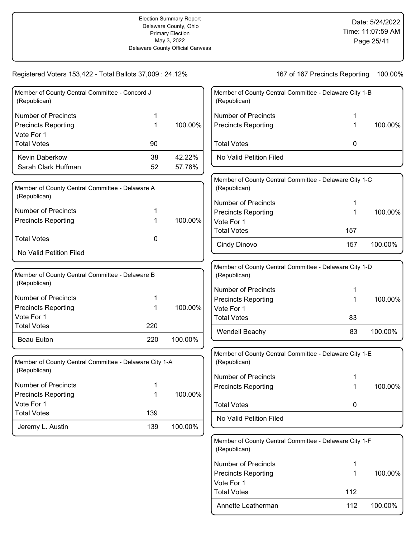### Registered Voters 153,422 - Total Ballots 37,009 : 24.12%

| 167 of 167 Precincts Reporting | 100.00% |
|--------------------------------|---------|
|--------------------------------|---------|

| Member of County Central Committee - Concord J<br>(Republican) |     |         | Member of County Central Committee - Delaware City 1-B<br>(Republican) |     |         |
|----------------------------------------------------------------|-----|---------|------------------------------------------------------------------------|-----|---------|
|                                                                |     |         |                                                                        |     |         |
| <b>Number of Precincts</b>                                     |     |         | <b>Number of Precincts</b>                                             |     |         |
| <b>Precincts Reporting</b>                                     | 1   | 100.00% | <b>Precincts Reporting</b>                                             | 1   | 100.00% |
| Vote For 1                                                     |     |         |                                                                        |     |         |
| <b>Total Votes</b>                                             | 90  |         | <b>Total Votes</b>                                                     | 0   |         |
| Kevin Daberkow                                                 | 38  | 42.22%  | No Valid Petition Filed                                                |     |         |
| Sarah Clark Huffman                                            | 52  | 57.78%  |                                                                        |     |         |
|                                                                |     |         | Member of County Central Committee - Delaware City 1-C                 |     |         |
| Member of County Central Committee - Delaware A                |     |         | (Republican)                                                           |     |         |
| (Republican)                                                   |     |         | <b>Number of Precincts</b>                                             |     |         |
| <b>Number of Precincts</b>                                     |     |         | <b>Precincts Reporting</b>                                             | 1   | 100.00% |
| <b>Precincts Reporting</b>                                     | 1   | 100.00% | Vote For 1                                                             |     |         |
|                                                                |     |         | <b>Total Votes</b>                                                     | 157 |         |
| <b>Total Votes</b>                                             | 0   |         | Cindy Dinovo                                                           | 157 | 100.00% |
| No Valid Petition Filed                                        |     |         |                                                                        |     |         |
|                                                                |     |         | Member of County Central Committee - Delaware City 1-D                 |     |         |
| Member of County Central Committee - Delaware B                |     |         | (Republican)                                                           |     |         |
| (Republican)                                                   |     |         | <b>Number of Precincts</b>                                             |     |         |
| <b>Number of Precincts</b>                                     |     |         |                                                                        | 1   | 100.00% |
| <b>Precincts Reporting</b>                                     | 1   | 100.00% | <b>Precincts Reporting</b><br>Vote For 1                               |     |         |
| Vote For 1                                                     |     |         | <b>Total Votes</b>                                                     | 83  |         |
| <b>Total Votes</b>                                             | 220 |         |                                                                        |     |         |
| <b>Beau Euton</b>                                              | 220 | 100.00% | Wendell Beachy                                                         | 83  | 100.00% |
|                                                                |     |         |                                                                        |     |         |
| Member of County Central Committee - Delaware City 1-A         |     |         | Member of County Central Committee - Delaware City 1-E<br>(Republican) |     |         |
| (Republican)                                                   |     |         |                                                                        |     |         |
|                                                                |     |         | <b>Number of Precincts</b>                                             |     |         |
| <b>Number of Precincts</b>                                     |     |         | <b>Precincts Reporting</b>                                             |     | 100.00% |
| <b>Precincts Reporting</b>                                     | 1   | 100.00% |                                                                        |     |         |
| Vote For 1                                                     |     |         | <b>Total Votes</b>                                                     | 0   |         |
| <b>Total Votes</b>                                             | 139 |         | No Valid Petition Filed                                                |     |         |
| Jeremy L. Austin                                               | 139 | 100.00% |                                                                        |     |         |
|                                                                |     |         | Member of County Central Committee - Delaware City 1-F                 |     |         |
|                                                                |     |         |                                                                        |     |         |

| monipol of oddiny contrar committee Delaware Ony The<br>(Republican) |     |         |
|----------------------------------------------------------------------|-----|---------|
| Number of Precincts                                                  | 1   |         |
| <b>Precincts Reporting</b>                                           |     | 100.00% |
| Vote For 1                                                           |     |         |
| <b>Total Votes</b>                                                   | 112 |         |
| Annette Leatherman                                                   | 112 | 100.00% |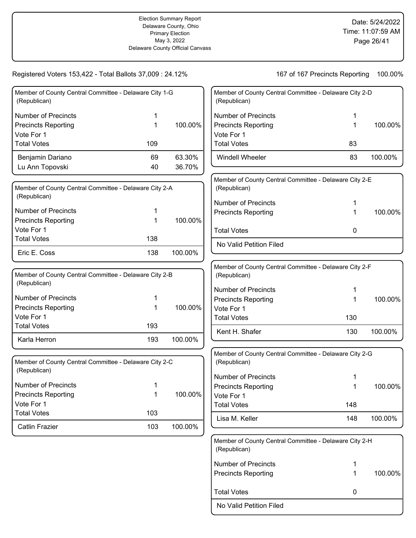| Member of County Central Committee - Delaware City 1-G<br>(Republican) |     |         |
|------------------------------------------------------------------------|-----|---------|
| Number of Precincts                                                    | 1   |         |
| <b>Precincts Reporting</b>                                             | 1   | 100.00% |
| Vote For 1                                                             |     |         |
| <b>Total Votes</b>                                                     | 109 |         |
| Benjamin Dariano                                                       | 69  | 63.30%  |
| Lu Ann Topovski                                                        | 40  | 36.70%  |
|                                                                        |     |         |

| Member of County Central Committee - Delaware City 2-A<br>(Republican) |     |         |
|------------------------------------------------------------------------|-----|---------|
| l Number of Precincts                                                  | 1   |         |
| Precincts Reporting                                                    |     | 100.00% |
| l Vote For 1                                                           |     |         |
| Total Votes                                                            | 138 |         |
| Eric E. Coss                                                           | 138 | 100.00% |

| Member of County Central Committee - Delaware City 2-B<br>(Republican) |     |         |
|------------------------------------------------------------------------|-----|---------|
| Number of Precincts                                                    | 1   |         |
| <b>Precincts Reporting</b>                                             | 1   | 100.00% |
| Vote For 1                                                             |     |         |
| <b>Total Votes</b>                                                     | 193 |         |
| Karla Herron                                                           | 193 | 100.00% |

| Member of County Central Committee - Delaware City 2-C<br>(Republican) |     |         |
|------------------------------------------------------------------------|-----|---------|
| Number of Precincts                                                    | 1   |         |
| <b>Precincts Reporting</b>                                             | 1   | 100.00% |
| Vote For 1                                                             |     |         |
| <b>Total Votes</b>                                                     | 103 |         |
| <b>Catlin Frazier</b>                                                  | 103 | 100.00% |

| Member of County Central Committee - Delaware City 2-D<br>(Republican) |     |         |
|------------------------------------------------------------------------|-----|---------|
| <b>Number of Precincts</b>                                             | 1   |         |
| <b>Precincts Reporting</b>                                             | 1   | 100.00% |
| Vote For 1                                                             |     |         |
| <b>Total Votes</b>                                                     | 83  |         |
| Windell Wheeler                                                        | 83  | 100.00% |
| Member of County Central Committee - Delaware City 2-E<br>(Republican) |     |         |
| <b>Number of Precincts</b>                                             | 1   |         |
| <b>Precincts Reporting</b>                                             | 1   | 100.00% |
| <b>Total Votes</b>                                                     | 0   |         |
| No Valid Petition Filed                                                |     |         |
| Member of County Central Committee - Delaware City 2-F                 |     |         |
| (Republican)                                                           |     |         |
| <b>Number of Precincts</b>                                             | 1   |         |
| <b>Precincts Reporting</b>                                             | 1   | 100.00% |
| Vote For 1                                                             |     |         |
| <b>Total Votes</b>                                                     | 130 |         |
| Kent H. Shafer                                                         | 130 | 100.00% |
| Member of County Central Committee - Delaware City 2-G<br>(Republican) |     |         |
| Number of Precincts                                                    | 1   |         |
| <b>Precincts Reporting</b>                                             | 1   | 100.00% |
| Vote For 1                                                             |     |         |
| <b>Total Votes</b>                                                     | 148 |         |
| Lisa M. Keller                                                         | 148 | 100.00% |
| Member of County Central Committee - Delaware City 2-H<br>(Republican) |     |         |
| <b>Number of Precincts</b>                                             | 1   |         |
| <b>Precincts Reporting</b>                                             | 1   | 100.00% |

No Valid Petition Filed

Total Votes **0**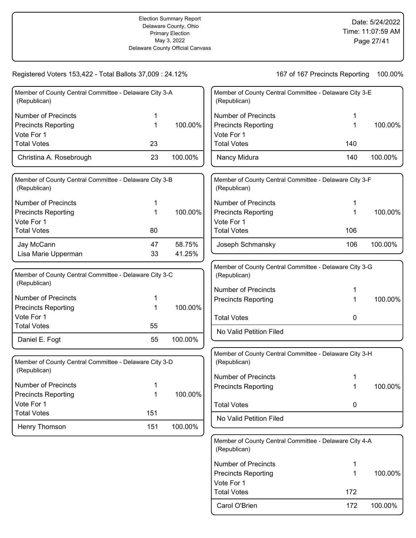# Registered Voters 153,422 - Total Ballots 37,009 : 24.12%

| 100.00%<br>167 of 167 Precincts Reporting |
|-------------------------------------------|
|-------------------------------------------|

| Member of County Central Committee - Delaware City 3-A<br>(Republican) |     |         | Member of C<br>(Republican          |
|------------------------------------------------------------------------|-----|---------|-------------------------------------|
| <b>Number of Precincts</b>                                             | 1   |         | Number of                           |
| <b>Precincts Reporting</b>                                             | 1   | 100.00% | <b>Precincts R</b>                  |
| Vote For 1                                                             |     |         | Vote For 1                          |
| <b>Total Votes</b>                                                     | 23  |         | <b>Total Votes</b>                  |
| Christina A. Rosebrough                                                | 23  | 100.00% | Nancy Mid                           |
| Member of County Central Committee - Delaware City 3-B                 |     |         | Member of C                         |
| (Republican)                                                           |     |         | (Republican                         |
| <b>Number of Precincts</b>                                             | 1   |         | Number of                           |
| <b>Precincts Reporting</b>                                             | 1   | 100.00% | Precincts <sub>R</sub>              |
| Vote For 1                                                             |     |         | Vote For 1                          |
| <b>Total Votes</b>                                                     | 80  |         | <b>Total Votes</b>                  |
| Jay McCann                                                             | 47  | 58.75%  | Joseph Sc                           |
| Lisa Marie Upperman                                                    | 33  | 41.25%  |                                     |
|                                                                        |     |         | Member of C                         |
| Member of County Central Committee - Delaware City 3-C<br>(Republican) |     |         | (Republican                         |
| <b>Number of Precincts</b>                                             | 1   |         | Number of<br>Precincts <sub>R</sub> |
| <b>Precincts Reporting</b>                                             | 1   | 100.00% |                                     |
| Vote For 1                                                             |     |         | <b>Total Votes</b>                  |
| <b>Total Votes</b>                                                     | 55  |         | No Valid P                          |
| Daniel E. Fogt                                                         | 55  | 100.00% |                                     |
|                                                                        |     |         | Member of C                         |
| Member of County Central Committee - Delaware City 3-D<br>(Republican) |     |         | (Republican                         |
|                                                                        |     |         | Number of                           |
| <b>Number of Precincts</b>                                             | 1   |         | Precincts <sub>R</sub>              |
| <b>Precincts Reporting</b>                                             | 1   | 100.00% |                                     |
| Vote For 1                                                             |     |         | <b>Total Votes</b>                  |
| <b>Total Votes</b>                                                     | 151 |         | No Valid P                          |

Henry Thomson 151 100.00%

| Member of County Central Committee - Delaware City 3-E<br>(Republican) |     |         |  |
|------------------------------------------------------------------------|-----|---------|--|
| Number of Precincts                                                    | 1   |         |  |
| <b>Precincts Reporting</b>                                             | 1   | 100.00% |  |
| Vote For 1                                                             |     |         |  |
| <b>Total Votes</b>                                                     | 140 |         |  |
| Nancy Midura                                                           | 140 | 100.00% |  |
|                                                                        |     |         |  |
| Member of County Central Committee - Delaware City 3-F                 |     |         |  |

| <b>Member of County Central Committee - Delaware City 3-F</b><br>(Republican) |     |         |
|-------------------------------------------------------------------------------|-----|---------|
| Number of Precincts                                                           |     |         |
| <b>Precincts Reporting</b>                                                    |     | 100.00% |
| Vote For 1                                                                    |     |         |
| <b>Total Votes</b>                                                            | 106 |         |
| Joseph Schmansky                                                              | 106 | 100.00% |

| Member of County Central Committee - Delaware City 3-G<br>(Republican) |        |         |
|------------------------------------------------------------------------|--------|---------|
| Number of Precincts<br><b>Precincts Reporting</b>                      | 1<br>1 | 100.00% |
| <b>Total Votes</b>                                                     | O      |         |
| No Valid Petition Filed                                                |        |         |

| Member of County Central Committee - Delaware City 3-H<br>(Republican) |        |         |
|------------------------------------------------------------------------|--------|---------|
| Number of Precincts<br><b>Precincts Reporting</b>                      | 1<br>1 | 100.00% |
| <b>Total Votes</b>                                                     | O      |         |
| No Valid Petition Filed                                                |        |         |

| Member of County Central Committee - Delaware City 4-A<br>(Republican) |     |         |
|------------------------------------------------------------------------|-----|---------|
| Number of Precincts                                                    | 1   |         |
| <b>Precincts Reporting</b>                                             | 1   | 100.00% |
| Vote For 1                                                             |     |         |
| <b>Total Votes</b>                                                     | 172 |         |
| Carol O'Brien                                                          | 172 | 100.00% |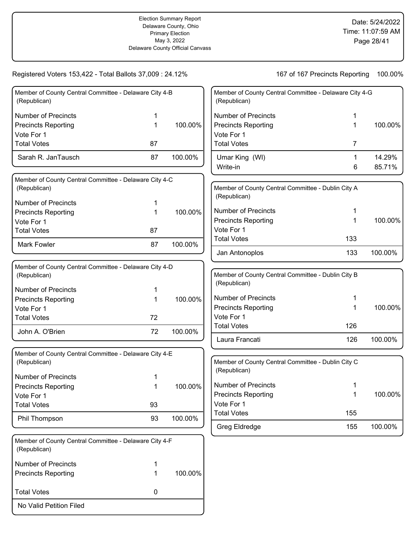No Valid Petition Filed

| Member of County Central Committee - Delaware City 4-B<br>(Republican) |    |         | Member of County Central Committee - Delaware City 4-G<br>(Republican) |        |                  |
|------------------------------------------------------------------------|----|---------|------------------------------------------------------------------------|--------|------------------|
| <b>Number of Precincts</b>                                             | 1  |         | <b>Number of Precincts</b>                                             | 1      |                  |
| <b>Precincts Reporting</b>                                             | 1  | 100.00% | <b>Precincts Reporting</b>                                             | 1      | 100.00%          |
| Vote For 1                                                             |    |         | Vote For 1                                                             |        |                  |
| <b>Total Votes</b>                                                     | 87 |         | <b>Total Votes</b>                                                     | 7      |                  |
| Sarah R. JanTausch                                                     | 87 | 100.00% | Umar King (WI)<br>Write-in                                             | 1<br>6 | 14.29%<br>85.71% |
| Member of County Central Committee - Delaware City 4-C<br>(Republican) |    |         | Member of County Central Committee - Dublin City A<br>(Republican)     |        |                  |
| <b>Number of Precincts</b>                                             | 1  |         |                                                                        |        |                  |
| <b>Precincts Reporting</b>                                             | 1  | 100.00% | <b>Number of Precincts</b>                                             | 1      |                  |
| Vote For 1                                                             |    |         | <b>Precincts Reporting</b>                                             | 1      | 100.00%          |
| <b>Total Votes</b>                                                     | 87 |         | Vote For 1<br><b>Total Votes</b>                                       |        |                  |
| <b>Mark Fowler</b>                                                     | 87 | 100.00% |                                                                        | 133    |                  |
|                                                                        |    |         | Jan Antonoplos                                                         | 133    | 100.00%          |
| Member of County Central Committee - Delaware City 4-D<br>(Republican) |    |         | Member of County Central Committee - Dublin City B<br>(Republican)     |        |                  |
| <b>Number of Precincts</b>                                             | 1  |         |                                                                        |        |                  |
| <b>Precincts Reporting</b>                                             | 1  | 100.00% | <b>Number of Precincts</b>                                             | 1      |                  |
| Vote For 1                                                             |    |         | <b>Precincts Reporting</b>                                             | 1      | 100.00%          |
| <b>Total Votes</b>                                                     | 72 |         | Vote For 1<br><b>Total Votes</b>                                       | 126    |                  |
| John A. O'Brien                                                        | 72 | 100.00% |                                                                        |        |                  |
|                                                                        |    |         | Laura Francati                                                         | 126    | 100.00%          |
| Member of County Central Committee - Delaware City 4-E<br>(Republican) |    |         | Member of County Central Committee - Dublin City C<br>(Republican)     |        |                  |
| <b>Number of Precincts</b>                                             |    |         |                                                                        |        |                  |
| <b>Precincts Reporting</b>                                             | 1  | 100.00% | <b>Number of Precincts</b>                                             | 1      |                  |
| Vote For 1                                                             |    |         | <b>Precincts Reporting</b>                                             | 1      | 100.00%          |
| <b>Total Votes</b>                                                     | 93 |         | Vote For 1<br><b>Total Votes</b>                                       | 155    |                  |
| Phil Thompson                                                          | 93 | 100.00% |                                                                        |        |                  |
|                                                                        |    |         | Greg Eldredge                                                          | 155    | 100.00%          |
| Member of County Central Committee - Delaware City 4-F<br>(Republican) |    |         |                                                                        |        |                  |
| <b>Number of Precincts</b>                                             | 1  |         |                                                                        |        |                  |
| <b>Precincts Reporting</b>                                             | 1  | 100.00% |                                                                        |        |                  |
| <b>Total Votes</b>                                                     | 0  |         |                                                                        |        |                  |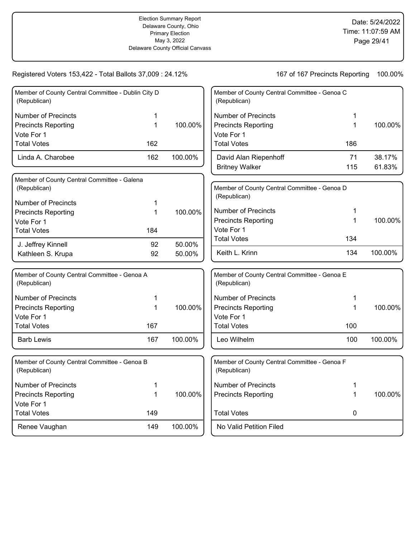| Member of County Central Committee - Dublin City D<br>(Republican) |              |         | Member of County Central Committee - Genoa C<br>(Republican) |     |         |
|--------------------------------------------------------------------|--------------|---------|--------------------------------------------------------------|-----|---------|
| <b>Number of Precincts</b>                                         | 1            |         | <b>Number of Precincts</b>                                   | 1   |         |
| <b>Precincts Reporting</b>                                         | $\mathbf{1}$ | 100.00% | <b>Precincts Reporting</b>                                   | 1   | 100.00% |
| Vote For 1                                                         |              |         | Vote For 1                                                   |     |         |
| <b>Total Votes</b>                                                 | 162          |         | <b>Total Votes</b>                                           | 186 |         |
| Linda A. Charobee                                                  | 162          | 100.00% | David Alan Riepenhoff                                        | 71  | 38.17%  |
|                                                                    |              |         | <b>Britney Walker</b>                                        | 115 | 61.83%  |
| Member of County Central Committee - Galena                        |              |         |                                                              |     |         |
| (Republican)                                                       |              |         | Member of County Central Committee - Genoa D                 |     |         |
| <b>Number of Precincts</b>                                         | 1            |         | (Republican)                                                 |     |         |
| <b>Precincts Reporting</b>                                         | 1            | 100.00% | <b>Number of Precincts</b>                                   | 1   |         |
| Vote For 1                                                         |              |         | <b>Precincts Reporting</b>                                   | 1   | 100.00% |
| <b>Total Votes</b>                                                 | 184          |         | Vote For 1                                                   |     |         |
| J. Jeffrey Kinnell                                                 | 92           | 50.00%  | <b>Total Votes</b>                                           | 134 |         |
| Kathleen S. Krupa                                                  | 92           | 50.00%  | Keith L. Krinn                                               | 134 | 100.00% |
| Member of County Central Committee - Genoa A<br>(Republican)       |              |         | Member of County Central Committee - Genoa E<br>(Republican) |     |         |
| <b>Number of Precincts</b>                                         | 1            |         | <b>Number of Precincts</b>                                   | 1   |         |
| <b>Precincts Reporting</b>                                         | $\mathbf{1}$ | 100.00% | <b>Precincts Reporting</b>                                   | 1   | 100.00% |
| Vote For 1                                                         |              |         | Vote For 1                                                   |     |         |
| <b>Total Votes</b>                                                 | 167          |         | <b>Total Votes</b>                                           | 100 |         |
| <b>Barb Lewis</b>                                                  | 167          | 100.00% | Leo Wilhelm                                                  | 100 | 100.00% |
| Member of County Central Committee - Genoa B<br>(Republican)       |              |         | Member of County Central Committee - Genoa F<br>(Republican) |     |         |
| <b>Number of Precincts</b>                                         | 1            |         | <b>Number of Precincts</b>                                   | 1   |         |
| <b>Precincts Reporting</b>                                         | 1            | 100.00% | <b>Precincts Reporting</b>                                   | 1   | 100.00% |
| Vote For 1                                                         |              |         |                                                              |     |         |
| <b>Total Votes</b>                                                 | 149          |         | <b>Total Votes</b>                                           | 0   |         |
| Renee Vaughan                                                      | 149          | 100.00% | No Valid Petition Filed                                      |     |         |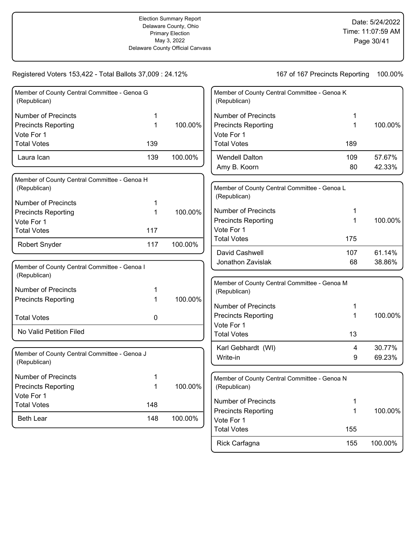| Member of County Central Committee - Genoa G<br>(Republican) |     |         | Member of County Central Committee - Genoa K<br>(Republican) |     |         |
|--------------------------------------------------------------|-----|---------|--------------------------------------------------------------|-----|---------|
| <b>Number of Precincts</b>                                   | 1   |         | <b>Number of Precincts</b>                                   |     |         |
| <b>Precincts Reporting</b>                                   | 1   | 100.00% | <b>Precincts Reporting</b>                                   | 1   | 100.00% |
| Vote For 1                                                   |     |         | Vote For 1                                                   |     |         |
| <b>Total Votes</b>                                           | 139 |         | <b>Total Votes</b>                                           | 189 |         |
| Laura Ican                                                   | 139 | 100.00% | <b>Wendell Dalton</b>                                        | 109 | 57.67%  |
|                                                              |     |         | Amy B. Koorn                                                 | 80  | 42.33%  |
| Member of County Central Committee - Genoa H                 |     |         |                                                              |     |         |
| (Republican)                                                 |     |         | Member of County Central Committee - Genoa L                 |     |         |
| <b>Number of Precincts</b>                                   |     |         | (Republican)                                                 |     |         |
| <b>Precincts Reporting</b>                                   | 1   | 100.00% | <b>Number of Precincts</b>                                   |     |         |
| Vote For 1                                                   |     |         | <b>Precincts Reporting</b>                                   | 1   | 100.00% |
| <b>Total Votes</b>                                           | 117 |         | Vote For 1                                                   |     |         |
| <b>Robert Snyder</b>                                         | 117 | 100.00% | <b>Total Votes</b>                                           | 175 |         |
|                                                              |     |         | David Cashwell                                               | 107 | 61.14%  |
| Member of County Central Committee - Genoa I<br>(Republican) |     |         | Jonathon Zavislak                                            | 68  | 38.86%  |
| <b>Number of Precincts</b>                                   |     |         | Member of County Central Committee - Genoa M                 |     |         |
| <b>Precincts Reporting</b>                                   |     | 100.00% | (Republican)                                                 |     |         |
|                                                              |     |         | <b>Number of Precincts</b>                                   |     |         |
| <b>Total Votes</b>                                           | 0   |         | <b>Precincts Reporting</b>                                   | 1   | 100.00% |
|                                                              |     |         | Vote For 1                                                   |     |         |
| No Valid Petition Filed                                      |     |         | <b>Total Votes</b>                                           | 13  |         |
|                                                              |     |         | Karl Gebhardt (WI)                                           | 4   | 30.77%  |
| Member of County Central Committee - Genoa J<br>(Republican) |     |         | Write-in                                                     | 9   | 69.23%  |
| <b>Number of Precincts</b>                                   |     |         | Member of County Central Committee - Genoa N                 |     |         |
| <b>Precincts Reporting</b>                                   |     | 100.00% | (Republican)                                                 |     |         |
| Vote For 1                                                   |     |         |                                                              |     |         |
| <b>Total Votes</b>                                           | 148 |         | <b>Number of Precincts</b>                                   | 1   |         |
| <b>Beth Lear</b>                                             | 148 | 100.00% | <b>Precincts Reporting</b>                                   | 1   | 100.00% |
|                                                              |     |         | Vote For 1<br><b>Total Votes</b>                             | 155 |         |
|                                                              |     |         |                                                              |     |         |
|                                                              |     |         | Rick Carfagna                                                | 155 | 100.00% |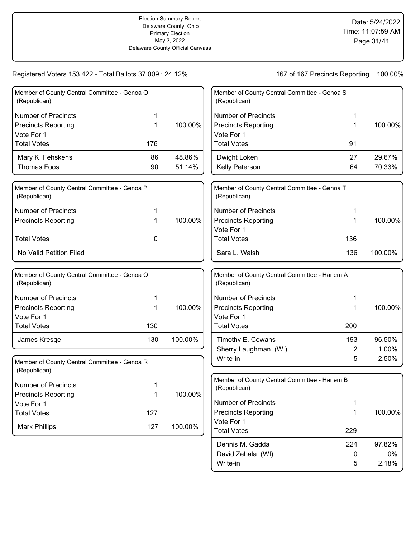Write-in 5 2.18%

| Member of County Central Committee - Genoa O<br>(Republican) |     |         | Member of County Central Committee - Genoa S<br>(Republican)  |           |         |
|--------------------------------------------------------------|-----|---------|---------------------------------------------------------------|-----------|---------|
| <b>Number of Precincts</b>                                   | 1   |         | <b>Number of Precincts</b>                                    | 1         |         |
| <b>Precincts Reporting</b>                                   | 1   | 100.00% | <b>Precincts Reporting</b>                                    | 1         | 100.00% |
| Vote For 1                                                   |     |         | Vote For 1                                                    |           |         |
| <b>Total Votes</b>                                           | 176 |         | <b>Total Votes</b>                                            | 91        |         |
| Mary K. Fehskens                                             | 86  | 48.86%  | Dwight Loken                                                  | 27        | 29.67%  |
| <b>Thomas Foos</b>                                           | 90  | 51.14%  | Kelly Peterson                                                | 64        | 70.33%  |
| Member of County Central Committee - Genoa P<br>(Republican) |     |         | Member of County Central Committee - Genoa T<br>(Republican)  |           |         |
| <b>Number of Precincts</b>                                   |     |         | <b>Number of Precincts</b>                                    | 1         |         |
| <b>Precincts Reporting</b>                                   |     | 100.00% | <b>Precincts Reporting</b>                                    | 1         | 100.00% |
|                                                              |     |         | Vote For 1                                                    |           |         |
| <b>Total Votes</b>                                           | 0   |         | <b>Total Votes</b>                                            | 136       |         |
| No Valid Petition Filed                                      |     |         | Sara L. Walsh                                                 | 136       | 100.00% |
| Member of County Central Committee - Genoa Q<br>(Republican) |     |         | Member of County Central Committee - Harlem A<br>(Republican) |           |         |
| <b>Number of Precincts</b>                                   |     |         | <b>Number of Precincts</b>                                    | 1         |         |
| <b>Precincts Reporting</b>                                   | 1   | 100.00% | <b>Precincts Reporting</b>                                    | 1         | 100.00% |
| Vote For 1                                                   |     |         | Vote For 1                                                    |           |         |
| <b>Total Votes</b>                                           | 130 |         | <b>Total Votes</b>                                            | 200       |         |
| James Kresge                                                 | 130 | 100.00% | Timothy E. Cowans                                             | 193       | 96.50%  |
|                                                              |     |         | Sherry Laughman (WI)                                          | 2         | 1.00%   |
| Member of County Central Committee - Genoa R<br>(Republican) |     |         | Write-in                                                      | 5         | 2.50%   |
| <b>Number of Precincts</b>                                   | 1   |         | Member of County Central Committee - Harlem B                 |           |         |
| <b>Precincts Reporting</b>                                   | 1   | 100.00% | (Republican)                                                  |           |         |
| Vote For 1                                                   |     |         | Number of Precincts                                           | 1         |         |
| <b>Total Votes</b>                                           | 127 |         | <b>Precincts Reporting</b>                                    | 1         | 100.00% |
| <b>Mark Phillips</b>                                         | 127 | 100.00% | Vote For 1                                                    |           |         |
|                                                              |     |         | <b>Total Votes</b>                                            | 229       |         |
|                                                              |     |         | Dennis M. Gadda                                               | 224       | 97.82%  |
|                                                              |     |         | David Zehala (WI)                                             | $\pmb{0}$ | 0%      |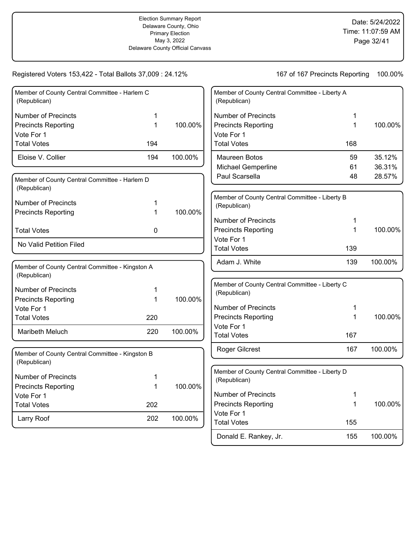| Member of County Central Committee - Harlem C<br>(Republican)   |             |         | Member of County Central Committee - Liberty A<br>(Republican) |             |         |
|-----------------------------------------------------------------|-------------|---------|----------------------------------------------------------------|-------------|---------|
| <b>Number of Precincts</b>                                      | 1           |         | <b>Number of Precincts</b>                                     | 1           |         |
| <b>Precincts Reporting</b>                                      | $\mathbf 1$ | 100.00% | <b>Precincts Reporting</b>                                     | $\mathbf 1$ | 100.00% |
| Vote For 1                                                      |             |         | Vote For 1                                                     |             |         |
| <b>Total Votes</b>                                              | 194         |         | <b>Total Votes</b>                                             | 168         |         |
| Eloise V. Collier                                               | 194         | 100.00% | Maureen Botos                                                  | 59          | 35.12%  |
|                                                                 |             |         | <b>Michael Gemperline</b>                                      | 61          | 36.31%  |
| Member of County Central Committee - Harlem D<br>(Republican)   |             |         | Paul Scarsella                                                 | 48          | 28.57%  |
| <b>Number of Precincts</b>                                      | 1           |         | Member of County Central Committee - Liberty B<br>(Republican) |             |         |
| <b>Precincts Reporting</b>                                      | 1           | 100.00% |                                                                |             |         |
|                                                                 |             |         | <b>Number of Precincts</b>                                     | 1           |         |
| <b>Total Votes</b>                                              | 0           |         | <b>Precincts Reporting</b>                                     | $\mathbf 1$ | 100.00% |
| No Valid Petition Filed                                         |             |         | Vote For 1<br><b>Total Votes</b>                               |             |         |
|                                                                 |             |         |                                                                | 139         |         |
| Member of County Central Committee - Kingston A                 |             |         | Adam J. White                                                  | 139         | 100.00% |
| (Republican)                                                    |             |         |                                                                |             |         |
| <b>Number of Precincts</b>                                      | 1           |         | Member of County Central Committee - Liberty C                 |             |         |
| <b>Precincts Reporting</b>                                      | 1           | 100.00% | (Republican)                                                   |             |         |
| Vote For 1                                                      |             |         | <b>Number of Precincts</b>                                     | 1           |         |
| <b>Total Votes</b>                                              | 220         |         | <b>Precincts Reporting</b>                                     | 1           | 100.00% |
|                                                                 |             |         | Vote For 1                                                     |             |         |
| Maribeth Meluch                                                 | 220         | 100.00% | <b>Total Votes</b>                                             | 167         |         |
|                                                                 |             |         | <b>Roger Gilcrest</b>                                          | 167         | 100.00% |
| Member of County Central Committee - Kingston B<br>(Republican) |             |         |                                                                |             |         |
| <b>Number of Precincts</b>                                      | 1           |         | Member of County Central Committee - Liberty D                 |             |         |
| <b>Precincts Reporting</b>                                      | 1           | 100.00% | (Republican)                                                   |             |         |
| Vote For 1                                                      |             |         | <b>Number of Precincts</b>                                     | 1           |         |
| <b>Total Votes</b>                                              | 202         |         | <b>Precincts Reporting</b>                                     | 1           | 100.00% |
|                                                                 |             |         | Vote For 1                                                     |             |         |
| Larry Roof                                                      | 202         | 100.00% | <b>Total Votes</b>                                             | 155         |         |
|                                                                 |             |         | Donald E. Rankey, Jr.                                          | 155         | 100.00% |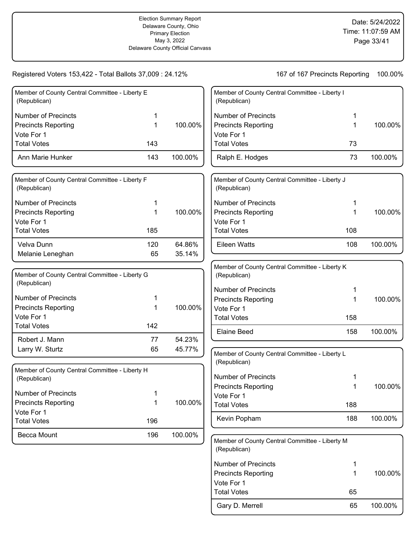| Member of County Central Committee - Liberty E<br>(Republican) |     |         | Membe<br>(Repul   |
|----------------------------------------------------------------|-----|---------|-------------------|
| <b>Number of Precincts</b>                                     | 1   |         | Numb              |
| <b>Precincts Reporting</b>                                     | 1   | 100.00% | Precin            |
| Vote For 1                                                     |     |         | Vote F            |
| <b>Total Votes</b>                                             | 143 |         | Total \           |
| Ann Marie Hunker                                               | 143 | 100.00% | Ralph             |
| Member of County Central Committee - Liberty F<br>(Republican) |     |         | Membe<br>(Repul   |
| <b>Number of Precincts</b>                                     | 1   |         | Numb              |
| <b>Precincts Reporting</b>                                     | 1   | 100.00% | Precin            |
| Vote For 1                                                     |     |         | Vote F            |
| <b>Total Votes</b>                                             | 185 |         | Total \           |
| Velva Dunn                                                     | 120 | 64.86%  | Eileer            |
| Melanie Leneghan                                               | 65  | 35.14%  |                   |
| Member of County Central Committee - Liberty G                 |     |         | Membe<br>(Repul   |
| (Republican)                                                   |     |         | Numb              |
| <b>Number of Precincts</b>                                     | 1   |         | Precin            |
| <b>Precincts Reporting</b>                                     | 1   | 100.00% | Vote F            |
| Vote For 1                                                     |     |         | Total \           |
| <b>Total Votes</b>                                             | 142 |         | Elaine            |
| Robert J. Mann                                                 | 77  | 54.23%  |                   |
| Larry W. Sturtz                                                | 65  | 45.77%  | Membe             |
|                                                                |     |         | (Repul            |
| Member of County Central Committee - Liberty H<br>(Republican) |     |         | Numb<br>Precin    |
| Number of Precincts                                            |     |         |                   |
| <b>Precincts Reporting</b>                                     | 1   | 100.00% | Vote F<br>Total \ |
| Vote For 1                                                     |     |         |                   |
| <b>Total Votes</b>                                             | 196 |         | Kevin             |
| Becca Mount                                                    | 196 | 100.00% | Membe             |
|                                                                |     |         |                   |

| Member of County Central Committee - Liberty I<br>(Republican) |    |         |
|----------------------------------------------------------------|----|---------|
| Number of Precincts                                            | 1  |         |
| <b>Precincts Reporting</b>                                     | 1  | 100.00% |
| Vote For 1                                                     |    |         |
| <b>Total Votes</b>                                             | 73 |         |
| Ralph E. Hodges                                                | 73 | 100.00% |

| Member of County Central Committee - Liberty J<br>(Republican) |     |         |
|----------------------------------------------------------------|-----|---------|
| Number of Precincts                                            | 1   |         |
| <b>Precincts Reporting</b>                                     | 1   | 100.00% |
| Vote For 1                                                     |     |         |
| <b>Total Votes</b>                                             | 108 |         |
| Eileen Watts                                                   | 108 | 100.00% |

| Member of County Central Committee - Liberty K<br>(Republican) |     |         |
|----------------------------------------------------------------|-----|---------|
| Number of Precincts                                            | 1   |         |
| <b>Precincts Reporting</b>                                     | 1   | 100.00% |
| Vote For 1                                                     |     |         |
| <b>Total Votes</b>                                             | 158 |         |
| Elaine Beed                                                    | 158 | 100.00% |

| Member of County Central Committee - Liberty L<br>(Republican) |     |         |
|----------------------------------------------------------------|-----|---------|
| Number of Precincts                                            | 1   |         |
| <b>Precincts Reporting</b>                                     | 1   | 100.00% |
| Vote For 1                                                     |     |         |
| <b>Total Votes</b>                                             | 188 |         |
| Kevin Popham                                                   | 188 | 100.00% |

er of County Central Committee - Liberty M (Republican) Number of Precincts 1 Precincts Reporting 1 Vote For 1 Gary D. Merrell 65 100.00% Total Votes 65 100.00%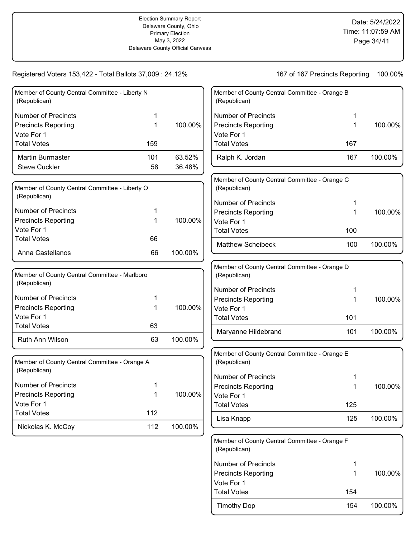| Member of County Central Committee - Liberty N<br>(Republican) |             |         | Member of County Central Committee - Orange B<br>(Republican) |     |         |
|----------------------------------------------------------------|-------------|---------|---------------------------------------------------------------|-----|---------|
| <b>Number of Precincts</b>                                     | 1           |         | <b>Number of Precincts</b>                                    |     |         |
| <b>Precincts Reporting</b>                                     | 1           | 100.00% | <b>Precincts Reporting</b>                                    | 1   | 100.00% |
| Vote For 1                                                     |             |         | Vote For 1                                                    |     |         |
| <b>Total Votes</b>                                             | 159         |         | <b>Total Votes</b>                                            | 167 |         |
| Martin Burmaster                                               | 101         | 63.52%  | Ralph K. Jordan                                               | 167 | 100.00% |
| <b>Steve Cuckler</b>                                           | 58          | 36.48%  |                                                               |     |         |
| Member of County Central Committee - Liberty O<br>(Republican) |             |         | Member of County Central Committee - Orange C<br>(Republican) |     |         |
|                                                                |             |         | <b>Number of Precincts</b>                                    |     |         |
| <b>Number of Precincts</b>                                     |             |         | <b>Precincts Reporting</b>                                    | 1   | 100.00% |
| <b>Precincts Reporting</b>                                     | 1           | 100.00% | Vote For 1                                                    |     |         |
| Vote For 1                                                     |             |         | <b>Total Votes</b>                                            | 100 |         |
| <b>Total Votes</b>                                             | 66          |         | <b>Matthew Scheibeck</b>                                      | 100 | 100.00% |
| Anna Castellanos                                               | 66          | 100.00% |                                                               |     |         |
| Member of County Central Committee - Marlboro<br>(Republican)  |             |         | Member of County Central Committee - Orange D<br>(Republican) |     |         |
|                                                                |             |         | <b>Number of Precincts</b>                                    |     |         |
| <b>Number of Precincts</b>                                     | 1           |         | <b>Precincts Reporting</b>                                    | 1   | 100.00% |
| <b>Precincts Reporting</b>                                     | 1           | 100.00% | Vote For 1                                                    |     |         |
| Vote For 1                                                     |             |         | <b>Total Votes</b>                                            | 101 |         |
| <b>Total Votes</b>                                             | 63          |         | Maryanne Hildebrand                                           | 101 | 100.00% |
| Ruth Ann Wilson                                                | 63          | 100.00% |                                                               |     |         |
| Member of County Central Committee - Orange A<br>(Republican)  |             |         | Member of County Central Committee - Orange E<br>(Republican) |     |         |
|                                                                |             |         | <b>Number of Precincts</b>                                    |     |         |
| <b>Number of Precincts</b>                                     | 1           |         | <b>Precincts Reporting</b>                                    |     | 100.00% |
| <b>Precincts Reporting</b>                                     | $\mathbf 1$ | 100.00% | Vote For 1                                                    |     |         |
| Vote For 1                                                     |             |         | <b>Total Votes</b>                                            | 125 |         |
| <b>Total Votes</b>                                             | 112         |         | Lisa Knapp                                                    | 125 | 100.00% |
| Nickolas K. McCoy                                              | 112         | 100.00% |                                                               |     |         |
|                                                                |             |         | Member of County Central Committee - Orange F                 |     |         |

| (Republican)          |     |         |
|-----------------------|-----|---------|
| l Number of Precincts |     |         |
| Precincts Reporting   |     | 100.00% |
| Vote For 1            |     |         |
| Total Votes           | 154 |         |
| Timothy Dop           | 154 | 100.00% |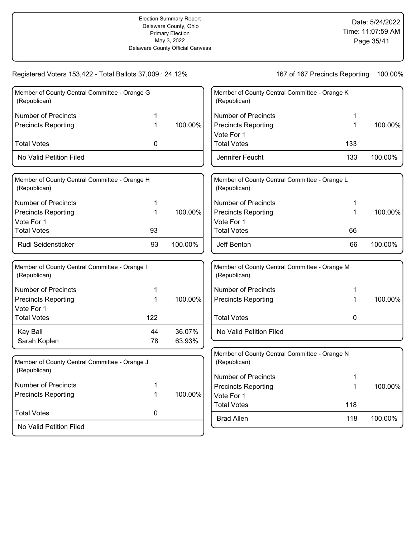| Member of County Central Committee - Orange G<br>(Republican) |     |         | Member of County Central Committee - Orange K<br>(Republican) |              |         |
|---------------------------------------------------------------|-----|---------|---------------------------------------------------------------|--------------|---------|
| Number of Precincts                                           | 1   |         | <b>Number of Precincts</b>                                    |              |         |
| <b>Precincts Reporting</b>                                    | 1   | 100.00% | <b>Precincts Reporting</b><br>Vote For 1                      | 1            | 100.00% |
| <b>Total Votes</b>                                            | 0   |         | <b>Total Votes</b>                                            | 133          |         |
| No Valid Petition Filed                                       |     |         | Jennifer Feucht                                               | 133          | 100.00% |
| Member of County Central Committee - Orange H<br>(Republican) |     |         | Member of County Central Committee - Orange L<br>(Republican) |              |         |
| <b>Number of Precincts</b>                                    | 1   |         | <b>Number of Precincts</b>                                    | 1            |         |
| <b>Precincts Reporting</b>                                    | 1   | 100.00% | <b>Precincts Reporting</b>                                    | 1            | 100.00% |
| Vote For 1                                                    |     |         | Vote For 1                                                    |              |         |
| <b>Total Votes</b>                                            | 93  |         | <b>Total Votes</b>                                            | 66           |         |
| Rudi Seidensticker                                            | 93  | 100.00% | Jeff Benton                                                   | 66           | 100.00% |
| Member of County Central Committee - Orange I<br>(Republican) |     |         | Member of County Central Committee - Orange M<br>(Republican) |              |         |
| <b>Number of Precincts</b>                                    | 1   |         | <b>Number of Precincts</b>                                    | $\mathbf{1}$ |         |
| <b>Precincts Reporting</b><br>Vote For 1                      | 1   | 100.00% | <b>Precincts Reporting</b>                                    | 1            | 100.00% |
| <b>Total Votes</b>                                            | 122 |         | <b>Total Votes</b>                                            | 0            |         |
| Kay Ball                                                      | 44  | 36.07%  | No Valid Petition Filed                                       |              |         |
| Sarah Koplen                                                  | 78  | 63.93%  |                                                               |              |         |
| Member of County Central Committee - Orange J<br>(Republican) |     |         | Member of County Central Committee - Orange N<br>(Republican) |              |         |
|                                                               |     |         | <b>Number of Precincts</b>                                    | 1            |         |
| <b>Number of Precincts</b>                                    | 1   |         | <b>Precincts Reporting</b>                                    | 1            | 100.00% |
| <b>Precincts Reporting</b>                                    | 1   | 100.00% | Vote For 1                                                    |              |         |
| <b>Total Votes</b>                                            | 0   |         | <b>Total Votes</b>                                            | 118          |         |
| No Valid Petition Filed                                       |     |         | <b>Brad Allen</b>                                             | 118          | 100.00% |
|                                                               |     |         |                                                               |              |         |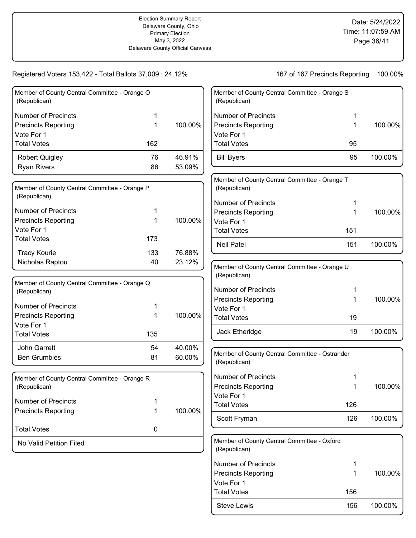| Member of County Central Committee - Orange O<br>(Republican) |     |         |
|---------------------------------------------------------------|-----|---------|
| Number of Precincts                                           | 1   |         |
| <b>Precincts Reporting</b>                                    | 1   | 100.00% |
| Vote For 1                                                    |     |         |
| <b>Total Votes</b>                                            | 162 |         |
| <b>Robert Quigley</b>                                         | 76  | 46.91%  |
| <b>Ryan Rivers</b>                                            | 86  | 53.09%  |

| Member of County Central Committee - Orange P<br>(Republican) |     |         |
|---------------------------------------------------------------|-----|---------|
| Number of Precincts                                           | 1   |         |
| <b>Precincts Reporting</b>                                    | 1   | 100.00% |
| Vote For 1                                                    |     |         |
| <b>Total Votes</b>                                            | 173 |         |
| <b>Tracy Kourie</b>                                           | 133 | 76.88%  |
| Nicholas Raptou                                               | 40  | 23.12%  |

| Member of County Central Committee - Orange Q<br>(Republican) |     |         |
|---------------------------------------------------------------|-----|---------|
| Number of Precincts                                           | 1   |         |
| <b>Precincts Reporting</b>                                    | 1   | 100.00% |
| Vote For 1                                                    |     |         |
| <b>Total Votes</b>                                            | 135 |         |
| John Garrett                                                  | 54  | 40.00%  |
| <b>Ben Grumbles</b>                                           | 81  | 60.00%  |
|                                                               |     |         |

| Member of County Central Committee - Orange R<br>(Republican) |   |         |
|---------------------------------------------------------------|---|---------|
| Number of Precincts                                           | 1 |         |
| <b>Precincts Reporting</b>                                    | 1 | 100.00% |
| <b>Total Votes</b>                                            | O |         |
| No Valid Petition Filed                                       |   |         |

| Member of County Central Committee - Orange S<br>(Republican)  |     |         |
|----------------------------------------------------------------|-----|---------|
| <b>Number of Precincts</b>                                     | 1   |         |
| <b>Precincts Reporting</b>                                     | 1   | 100.00% |
| Vote For 1                                                     |     |         |
| <b>Total Votes</b>                                             | 95  |         |
| <b>Bill Byers</b>                                              | 95  | 100.00% |
| Member of County Central Committee - Orange T<br>(Republican)  |     |         |
| <b>Number of Precincts</b>                                     | 1   |         |
| <b>Precincts Reporting</b>                                     | 1   | 100.00% |
| Vote For 1                                                     |     |         |
| <b>Total Votes</b>                                             | 151 |         |
| <b>Neil Patel</b>                                              | 151 | 100.00% |
| Member of County Central Committee - Orange U                  |     |         |
| (Republican)                                                   |     |         |
| <b>Number of Precincts</b>                                     | 1   |         |
| <b>Precincts Reporting</b>                                     | 1   | 100.00% |
| Vote For 1                                                     |     |         |
| <b>Total Votes</b>                                             | 19  |         |
| Jack Etheridge                                                 | 19  | 100.00% |
| Member of County Central Committee - Ostrander<br>(Republican) |     |         |
| <b>Number of Precincts</b>                                     | 1   |         |
| <b>Precincts Reporting</b>                                     | 1   | 100.00% |
| Vote For 1                                                     |     |         |
| <b>Total Votes</b>                                             | 126 |         |
| Scott Fryman                                                   | 126 | 100.00% |
| Member of County Central Committee - Oxford<br>(Republican)    |     |         |
| <b>Number of Precincts</b>                                     | 1   |         |
| <b>Precincts Reporting</b>                                     | 1   | 100.00% |
| Vote For 1                                                     |     |         |
| <b>Total Votes</b>                                             | 156 |         |
| <b>Steve Lewis</b>                                             | 156 | 100.00% |
|                                                                |     |         |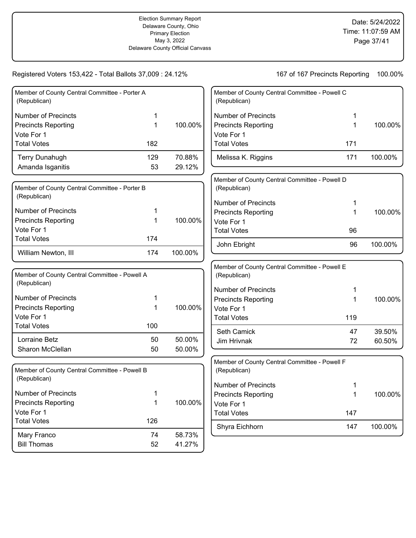$\overline{\phantom{a}}$ 

| Member of County Central Committee - Porter A<br>(Republican)          |        |         | Memb<br>(Rep          |
|------------------------------------------------------------------------|--------|---------|-----------------------|
| <b>Number of Precincts</b><br><b>Precincts Reporting</b><br>Vote For 1 | 1<br>1 | 100.00% | Numl<br>Preci<br>Vote |
| <b>Total Votes</b>                                                     | 182    |         | Total                 |
| <b>Terry Dunahugh</b>                                                  | 129    | 70.88%  | Meli                  |
| Amanda Isganitis                                                       | 53     | 29.12%  |                       |
| Member of County Central Committee - Porter B<br>(Republican)          |        |         | Memb<br>(Rep<br>Numl  |
| <b>Number of Precincts</b>                                             | 1      |         | Preci                 |
| <b>Precincts Reporting</b>                                             | 1      | 100.00% | Vote                  |
| Vote For 1<br><b>Total Votes</b>                                       |        |         | Total                 |
|                                                                        | 174    |         | Johr                  |
| William Newton, III                                                    | 174    | 100.00% |                       |
| Member of County Central Committee - Powell A                          |        |         | Memb<br>(Rep          |
| (Republican)                                                           |        |         | Numl                  |
| <b>Number of Precincts</b>                                             | 1      |         | Preci                 |
| <b>Precincts Reporting</b><br>Vote For 1                               | 1      | 100.00% | Vote<br>Total         |
| <b>Total Votes</b>                                                     | 100    |         |                       |
| Lorraine Betz                                                          | 50     | 50.00%  | Seth<br>Jim           |
| Sharon McClellan                                                       | 50     | 50.00%  |                       |
| Member of County Central Committee - Powell B<br>(Republican)          |        |         | Memb<br>(Rep          |
|                                                                        |        |         | Numl                  |
| <b>Number of Precincts</b><br><b>Precincts Reporting</b>               | 1<br>1 | 100.00% | Preci                 |
| Vote For 1                                                             |        |         | Vote<br>Total         |
| <b>Total Votes</b>                                                     | 126    |         |                       |
| Mary Franco                                                            | 74     | 58.73%  | Shyr                  |
| <b>Bill Thomas</b>                                                     | 52     | 41.27%  |                       |

| Member of County Central Committee - Powell C<br>(Republican) |     |         |
|---------------------------------------------------------------|-----|---------|
| Number of Precincts                                           | 1   |         |
| <b>Precincts Reporting</b>                                    | 1   | 100.00% |
| Vote For 1                                                    |     |         |
| <b>Total Votes</b>                                            | 171 |         |
| Melissa K. Riggins                                            | 171 | 100.00% |
|                                                               |     |         |

| Member of County Central Committee - Powell D<br>(Republican) |    |         |
|---------------------------------------------------------------|----|---------|
| Number of Precincts                                           | 1  |         |
| <b>Precincts Reporting</b>                                    | 1  | 100.00% |
| Vote For 1                                                    |    |         |
| <b>Total Votes</b>                                            | 96 |         |
| John Ebright                                                  | 96 | 100.00% |

| Member of County Central Committee - Powell E<br>(Republican) |     |         |
|---------------------------------------------------------------|-----|---------|
| Number of Precincts                                           | 1   |         |
| <b>Precincts Reporting</b>                                    | 1   | 100.00% |
| Vote For 1                                                    |     |         |
| <b>Total Votes</b>                                            | 119 |         |
| <b>Seth Camick</b>                                            | 47  | 39.50%  |
| Jim Hrivnak                                                   | 72  | 60.50%  |

| Member of County Central Committee - Powell F<br>(Republican) |     |         |
|---------------------------------------------------------------|-----|---------|
| Number of Precincts                                           | 1   |         |
| <b>Precincts Reporting</b>                                    | 1   | 100.00% |
| Vote For 1                                                    |     |         |
| <b>Total Votes</b>                                            | 147 |         |
| Shyra Eichhorn                                                | 147 | 100.00% |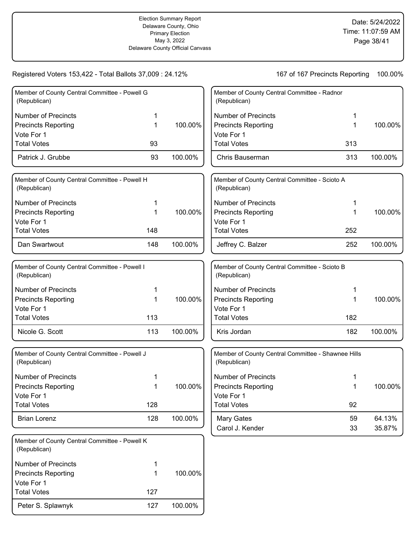| Member of County Central Committee - Powell G<br>(Republican) |     |         | Member of County Central Committee - Radnor<br>(Republican)        |     |         |
|---------------------------------------------------------------|-----|---------|--------------------------------------------------------------------|-----|---------|
| <b>Number of Precincts</b>                                    | 1   |         | <b>Number of Precincts</b>                                         | 1   |         |
| <b>Precincts Reporting</b>                                    | 1   | 100.00% | <b>Precincts Reporting</b>                                         | 1   | 100.00% |
| Vote For 1                                                    |     |         | Vote For 1                                                         |     |         |
| <b>Total Votes</b>                                            | 93  |         | <b>Total Votes</b>                                                 | 313 |         |
| Patrick J. Grubbe                                             | 93  | 100.00% | Chris Bauserman                                                    | 313 | 100.00% |
| Member of County Central Committee - Powell H<br>(Republican) |     |         | Member of County Central Committee - Scioto A<br>(Republican)      |     |         |
| <b>Number of Precincts</b>                                    | 1   |         | <b>Number of Precincts</b>                                         | 1   |         |
| <b>Precincts Reporting</b>                                    | 1   | 100.00% | <b>Precincts Reporting</b>                                         | 1   | 100.00% |
| Vote For 1                                                    |     |         | Vote For 1                                                         |     |         |
| <b>Total Votes</b>                                            | 148 |         | <b>Total Votes</b>                                                 | 252 |         |
| Dan Swartwout                                                 | 148 | 100.00% | Jeffrey C. Balzer                                                  | 252 | 100.00% |
| Member of County Central Committee - Powell I<br>(Republican) |     |         | Member of County Central Committee - Scioto B<br>(Republican)      |     |         |
| Number of Precincts                                           | 1   |         | <b>Number of Precincts</b>                                         | 1   |         |
| <b>Precincts Reporting</b>                                    | 1   | 100.00% | <b>Precincts Reporting</b>                                         | 1   | 100.00% |
| Vote For 1                                                    |     |         | Vote For 1                                                         |     |         |
| <b>Total Votes</b>                                            | 113 |         | <b>Total Votes</b>                                                 | 182 |         |
| Nicole G. Scott                                               | 113 | 100.00% | Kris Jordan                                                        | 182 | 100.00% |
| Member of County Central Committee - Powell J<br>(Republican) |     |         | Member of County Central Committee - Shawnee Hills<br>(Republican) |     |         |
| <b>Number of Precincts</b>                                    | 1   |         | <b>Number of Precincts</b>                                         |     |         |
| <b>Precincts Reporting</b>                                    | 1   | 100.00% | <b>Precincts Reporting</b>                                         | 1   | 100.00% |
| Vote For 1                                                    |     |         | Vote For 1                                                         |     |         |
| <b>Total Votes</b>                                            | 128 |         | <b>Total Votes</b>                                                 | 92  |         |
| <b>Brian Lorenz</b>                                           | 128 | 100.00% | Mary Gates                                                         | 59  | 64.13%  |
|                                                               |     |         | Carol J. Kender                                                    | 33  | 35.87%  |
| Member of County Central Committee - Powell K<br>(Republican) |     |         |                                                                    |     |         |
| <b>Number of Precincts</b>                                    | 1   |         |                                                                    |     |         |
| <b>Precincts Reporting</b>                                    | 1   | 100.00% |                                                                    |     |         |
| Vote For 1                                                    |     |         |                                                                    |     |         |
| <b>Total Votes</b>                                            | 127 |         |                                                                    |     |         |
| Peter S. Splawnyk                                             | 127 | 100.00% |                                                                    |     |         |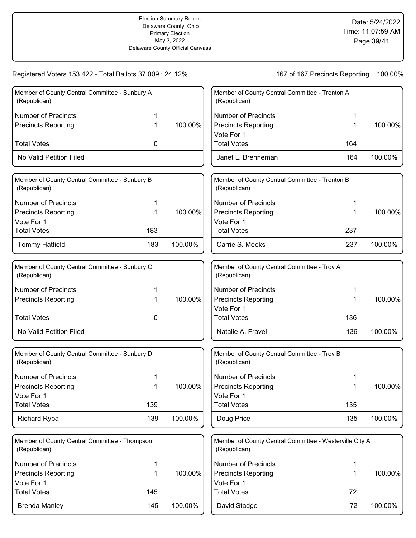| Member of County Central Committee - Sunbury A<br>(Republican) |     |         | Member of County Central Committee - Trenton A<br>(Republican)          |     |         |
|----------------------------------------------------------------|-----|---------|-------------------------------------------------------------------------|-----|---------|
| <b>Number of Precincts</b>                                     |     |         | <b>Number of Precincts</b>                                              |     |         |
| <b>Precincts Reporting</b>                                     | 1   | 100.00% | <b>Precincts Reporting</b>                                              | 1   | 100.00% |
|                                                                |     |         | Vote For 1                                                              |     |         |
| <b>Total Votes</b>                                             | 0   |         | <b>Total Votes</b>                                                      | 164 |         |
| No Valid Petition Filed                                        |     |         | Janet L. Brenneman                                                      | 164 | 100.00% |
| Member of County Central Committee - Sunbury B<br>(Republican) |     |         | Member of County Central Committee - Trenton B<br>(Republican)          |     |         |
| <b>Number of Precincts</b>                                     | 1   |         | <b>Number of Precincts</b>                                              |     |         |
| <b>Precincts Reporting</b>                                     | 1   | 100.00% | <b>Precincts Reporting</b>                                              | 1   | 100.00% |
| Vote For 1                                                     |     |         | Vote For 1                                                              |     |         |
| <b>Total Votes</b>                                             | 183 |         | <b>Total Votes</b>                                                      | 237 |         |
| <b>Tommy Hatfield</b>                                          | 183 | 100.00% | Carrie S. Meeks                                                         | 237 | 100.00% |
| Member of County Central Committee - Sunbury C<br>(Republican) |     |         | Member of County Central Committee - Troy A<br>(Republican)             |     |         |
| <b>Number of Precincts</b>                                     | 1   |         | <b>Number of Precincts</b>                                              |     |         |
| <b>Precincts Reporting</b>                                     | 1   | 100.00% | <b>Precincts Reporting</b>                                              | 1   | 100.00% |
|                                                                |     |         | Vote For 1                                                              |     |         |
| <b>Total Votes</b>                                             | 0   |         | <b>Total Votes</b>                                                      | 136 |         |
| No Valid Petition Filed                                        |     |         | Natalie A. Fravel                                                       | 136 | 100.00% |
| Member of County Central Committee - Sunbury D<br>(Republican) |     |         | Member of County Central Committee - Troy B<br>(Republican)             |     |         |
| <b>Number of Precincts</b>                                     |     |         | <b>Number of Precincts</b>                                              |     |         |
| <b>Precincts Reporting</b>                                     | 1   | 100.00% | <b>Precincts Reporting</b>                                              |     | 100.00% |
| Vote For 1                                                     |     |         | Vote For 1                                                              |     |         |
| <b>Total Votes</b>                                             | 139 |         | <b>Total Votes</b>                                                      | 135 |         |
| <b>Richard Ryba</b>                                            | 139 | 100.00% | Doug Price                                                              | 135 | 100.00% |
| Member of County Central Committee - Thompson<br>(Republican)  |     |         | Member of County Central Committee - Westerville City A<br>(Republican) |     |         |
| <b>Number of Precincts</b>                                     | 1   |         | <b>Number of Precincts</b>                                              | 1   |         |
| <b>Precincts Reporting</b>                                     | 1   | 100.00% | <b>Precincts Reporting</b>                                              | 1   | 100.00% |
| Vote For 1                                                     |     |         | Vote For 1                                                              |     |         |
| <b>Total Votes</b>                                             | 145 |         | <b>Total Votes</b>                                                      | 72  |         |
| <b>Brenda Manley</b>                                           | 145 | 100.00% | David Stadge                                                            | 72  | 100.00% |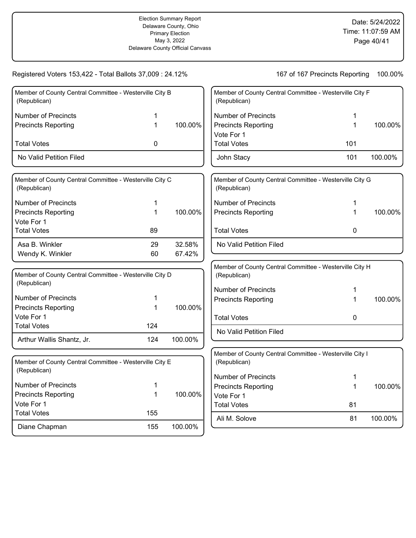| Member of County Central Committee - Westerville City B                 |              |         | Member of County Central Committee - Westerville City F                 |     |         |
|-------------------------------------------------------------------------|--------------|---------|-------------------------------------------------------------------------|-----|---------|
| (Republican)                                                            |              |         | (Republican)                                                            |     |         |
| <b>Number of Precincts</b>                                              | 1            |         | <b>Number of Precincts</b>                                              | 1   |         |
| <b>Precincts Reporting</b>                                              | 1            | 100.00% | <b>Precincts Reporting</b>                                              | 1   | 100.00% |
|                                                                         |              |         | Vote For 1                                                              |     |         |
| <b>Total Votes</b>                                                      | 0            |         | <b>Total Votes</b>                                                      | 101 |         |
| No Valid Petition Filed                                                 |              |         | John Stacy                                                              | 101 | 100.00% |
| Member of County Central Committee - Westerville City C<br>(Republican) |              |         | Member of County Central Committee - Westerville City G<br>(Republican) |     |         |
| <b>Number of Precincts</b>                                              | 1            |         | <b>Number of Precincts</b>                                              | 1   |         |
| <b>Precincts Reporting</b>                                              | $\mathbf{1}$ | 100.00% | <b>Precincts Reporting</b>                                              | 1   | 100.00% |
| Vote For 1                                                              |              |         |                                                                         |     |         |
| <b>Total Votes</b>                                                      | 89           |         | <b>Total Votes</b>                                                      | 0   |         |
| Asa B. Winkler                                                          | 29           | 32.58%  | No Valid Petition Filed                                                 |     |         |
| Wendy K. Winkler                                                        | 60           | 67.42%  |                                                                         |     |         |
|                                                                         |              |         | Member of County Central Committee - Westerville City H                 |     |         |
| Member of County Central Committee - Westerville City D<br>(Republican) |              |         | (Republican)                                                            |     |         |
|                                                                         |              |         | <b>Number of Precincts</b>                                              | 1   |         |
| <b>Number of Precincts</b>                                              | 1            |         | <b>Precincts Reporting</b>                                              | 1   | 100.00% |
| <b>Precincts Reporting</b><br>Vote For 1                                | 1            | 100.00% |                                                                         |     |         |
| <b>Total Votes</b>                                                      | 124          |         | <b>Total Votes</b>                                                      | 0   |         |
|                                                                         |              |         | No Valid Petition Filed                                                 |     |         |
| Arthur Wallis Shantz, Jr.                                               | 124          | 100.00% |                                                                         |     |         |
|                                                                         |              |         | Member of County Central Committee - Westerville City I                 |     |         |
| Member of County Central Committee - Westerville City E<br>(Republican) |              |         | (Republican)                                                            |     |         |
|                                                                         |              |         | <b>Number of Precincts</b>                                              | 1   |         |
| <b>Number of Precincts</b>                                              | 1            | 100.00% | <b>Precincts Reporting</b>                                              | 1   | 100.00% |
| <b>Precincts Reporting</b><br>Vote For 1                                | 1            |         | Vote For 1                                                              |     |         |
| <b>Total Votes</b>                                                      | 155          |         | <b>Total Votes</b>                                                      | 81  |         |
|                                                                         |              |         | Ali M. Solove                                                           | 81  | 100.00% |
| Diane Chapman                                                           | 155          | 100.00% |                                                                         |     |         |